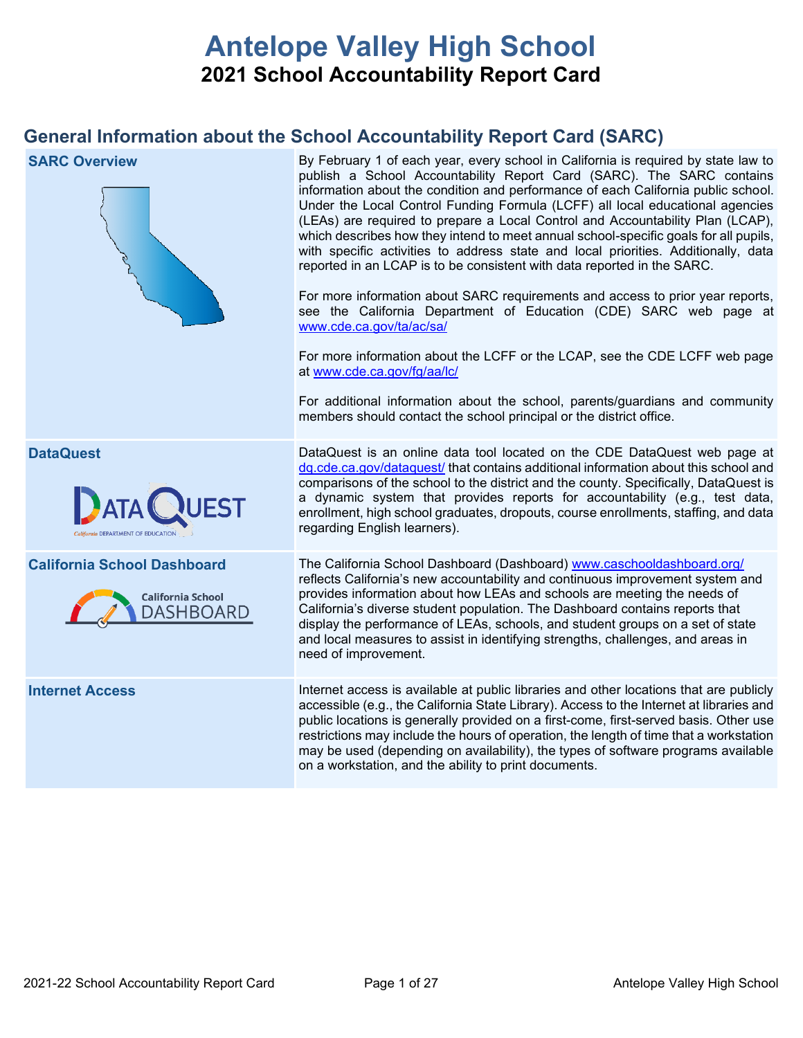# **Antelope Valley High School 2021 School Accountability Report Card**

## **General Information about the School Accountability Report Card (SARC)**

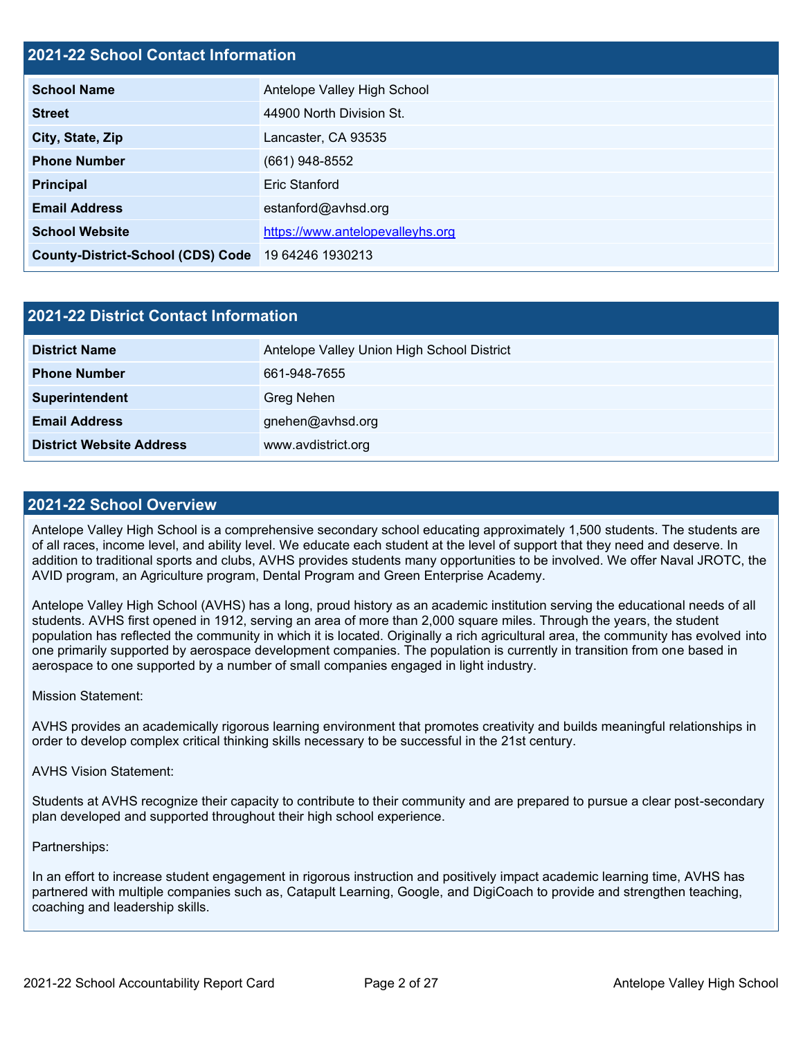### **2021-22 School Contact Information**

| <b>School Name</b>                                 | Antelope Valley High School      |  |  |  |
|----------------------------------------------------|----------------------------------|--|--|--|
| <b>Street</b>                                      | 44900 North Division St.         |  |  |  |
| City, State, Zip                                   | Lancaster, CA 93535              |  |  |  |
| <b>Phone Number</b>                                | $(661)$ 948-8552                 |  |  |  |
| <b>Principal</b>                                   | <b>Eric Stanford</b>             |  |  |  |
| <b>Email Address</b>                               | estanford@avhsd.org              |  |  |  |
| <b>School Website</b>                              | https://www.antelopevalleyhs.org |  |  |  |
| County-District-School (CDS) Code 19 64246 1930213 |                                  |  |  |  |

| 2021-22 District Contact Information |                                            |  |  |  |
|--------------------------------------|--------------------------------------------|--|--|--|
| <b>District Name</b>                 | Antelope Valley Union High School District |  |  |  |
| <b>Phone Number</b>                  | 661-948-7655                               |  |  |  |
| Superintendent                       | Greg Nehen                                 |  |  |  |
| <b>Email Address</b>                 | gnehen@avhsd.org                           |  |  |  |
| <b>District Website Address</b>      | www.avdistrict.org                         |  |  |  |

#### **2021-22 School Overview**

Antelope Valley High School is a comprehensive secondary school educating approximately 1,500 students. The students are of all races, income level, and ability level. We educate each student at the level of support that they need and deserve. In addition to traditional sports and clubs, AVHS provides students many opportunities to be involved. We offer Naval JROTC, the AVID program, an Agriculture program, Dental Program and Green Enterprise Academy.

Antelope Valley High School (AVHS) has a long, proud history as an academic institution serving the educational needs of all students. AVHS first opened in 1912, serving an area of more than 2,000 square miles. Through the years, the student population has reflected the community in which it is located. Originally a rich agricultural area, the community has evolved into one primarily supported by aerospace development companies. The population is currently in transition from one based in aerospace to one supported by a number of small companies engaged in light industry.

#### Mission Statement:

AVHS provides an academically rigorous learning environment that promotes creativity and builds meaningful relationships in order to develop complex critical thinking skills necessary to be successful in the 21st century.

#### AVHS Vision Statement:

Students at AVHS recognize their capacity to contribute to their community and are prepared to pursue a clear post-secondary plan developed and supported throughout their high school experience.

#### Partnerships:

In an effort to increase student engagement in rigorous instruction and positively impact academic learning time, AVHS has partnered with multiple companies such as, Catapult Learning, Google, and DigiCoach to provide and strengthen teaching, coaching and leadership skills.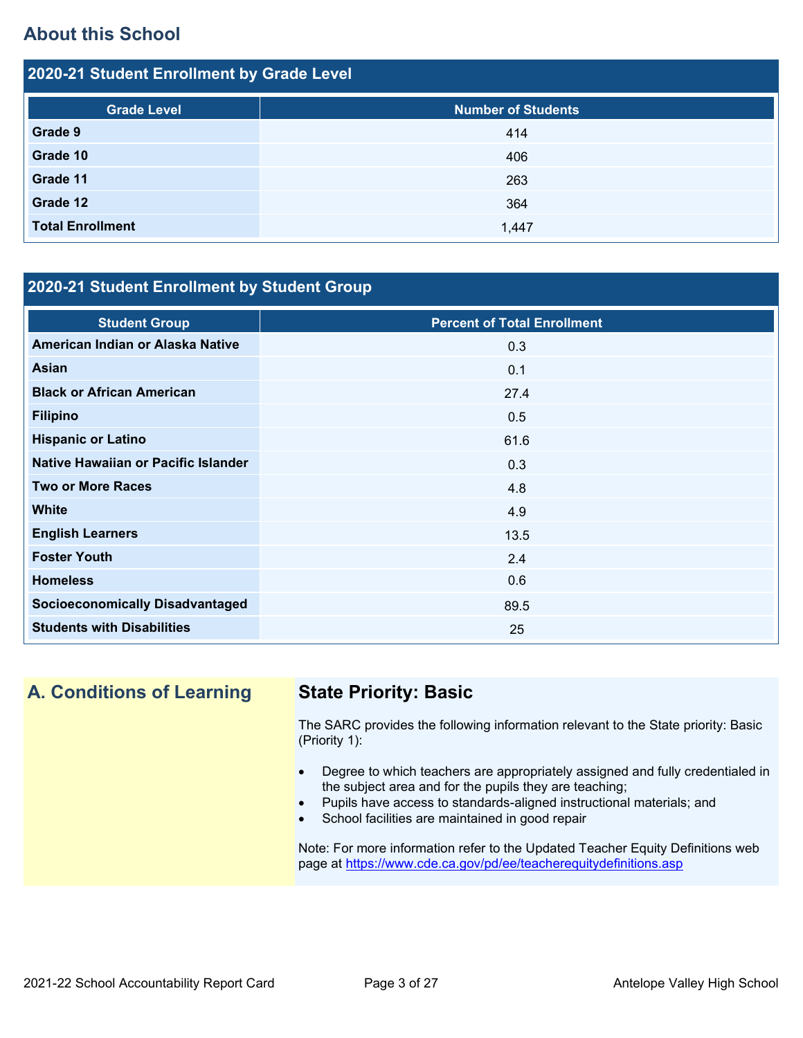## **About this School**

| 2020-21 Student Enrollment by Grade Level |                           |  |  |  |
|-------------------------------------------|---------------------------|--|--|--|
| <b>Grade Level</b>                        | <b>Number of Students</b> |  |  |  |
| Grade 9                                   | 414                       |  |  |  |
| Grade 10                                  | 406                       |  |  |  |
| Grade 11                                  | 263                       |  |  |  |
| Grade 12                                  | 364                       |  |  |  |
| <b>Total Enrollment</b>                   | 1,447                     |  |  |  |

### **2020-21 Student Enrollment by Student Group**

| <b>Student Group</b>                   | <b>Percent of Total Enrollment</b> |
|----------------------------------------|------------------------------------|
| American Indian or Alaska Native       | 0.3                                |
| Asian                                  | 0.1                                |
| <b>Black or African American</b>       | 27.4                               |
| <b>Filipino</b>                        | 0.5                                |
| <b>Hispanic or Latino</b>              | 61.6                               |
| Native Hawaiian or Pacific Islander    | 0.3                                |
| <b>Two or More Races</b>               | 4.8                                |
| <b>White</b>                           | 4.9                                |
| <b>English Learners</b>                | 13.5                               |
| <b>Foster Youth</b>                    | 2.4                                |
| <b>Homeless</b>                        | 0.6                                |
| <b>Socioeconomically Disadvantaged</b> | 89.5                               |
| <b>Students with Disabilities</b>      | 25                                 |

## **A. Conditions of Learning State Priority: Basic**

The SARC provides the following information relevant to the State priority: Basic (Priority 1):

- Degree to which teachers are appropriately assigned and fully credentialed in the subject area and for the pupils they are teaching;
- Pupils have access to standards-aligned instructional materials; and
- School facilities are maintained in good repair

Note: For more information refer to the Updated Teacher Equity Definitions web page at<https://www.cde.ca.gov/pd/ee/teacherequitydefinitions.asp>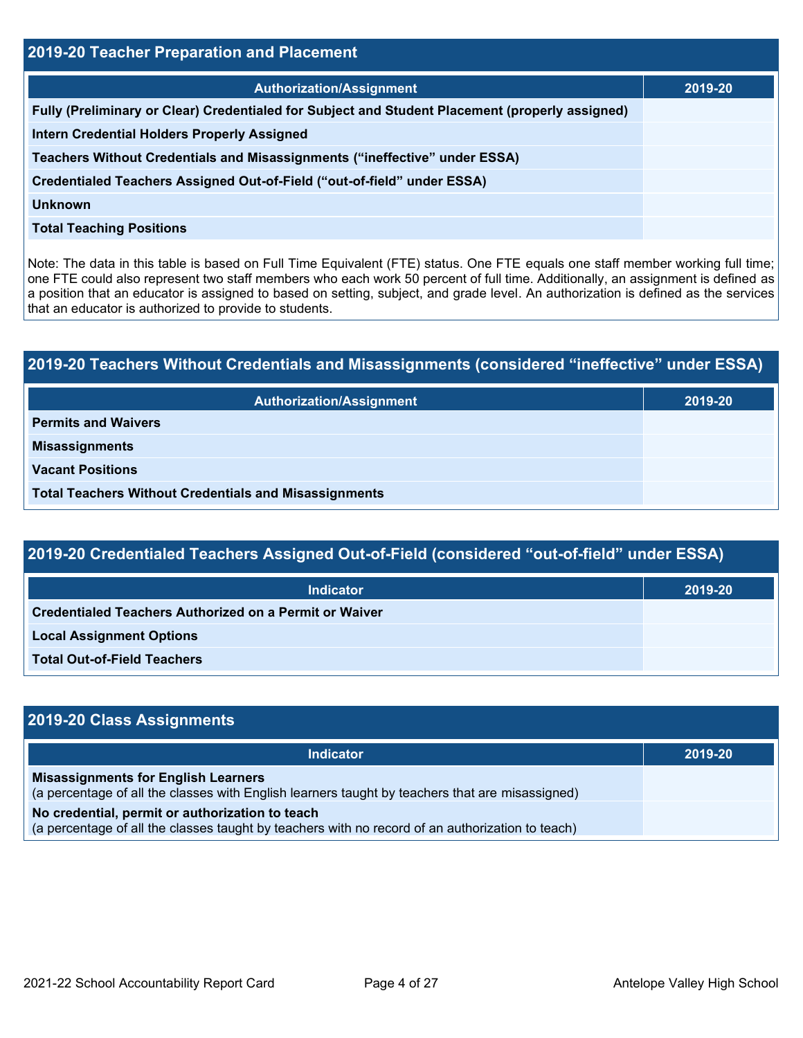| <b>2019-20 Teacher Preparation and Placement</b>                                                |         |  |  |
|-------------------------------------------------------------------------------------------------|---------|--|--|
| <b>Authorization/Assignment</b>                                                                 | 2019-20 |  |  |
| Fully (Preliminary or Clear) Credentialed for Subject and Student Placement (properly assigned) |         |  |  |
| <b>Intern Credential Holders Properly Assigned</b>                                              |         |  |  |
| Teachers Without Credentials and Misassignments ("ineffective" under ESSA)                      |         |  |  |
| Credentialed Teachers Assigned Out-of-Field ("out-of-field" under ESSA)                         |         |  |  |
| <b>Unknown</b>                                                                                  |         |  |  |
| <b>Total Teaching Positions</b>                                                                 |         |  |  |

Note: The data in this table is based on Full Time Equivalent (FTE) status. One FTE equals one staff member working full time; one FTE could also represent two staff members who each work 50 percent of full time. Additionally, an assignment is defined as a position that an educator is assigned to based on setting, subject, and grade level. An authorization is defined as the services that an educator is authorized to provide to students.

# **2019-20 Teachers Without Credentials and Misassignments (considered "ineffective" under ESSA) Authorization/Assignment 2019-20 Permits and Waivers Misassignments Vacant Positions Total Teachers Without Credentials and Misassignments**

| 2019-20 Credentialed Teachers Assigned Out-of-Field (considered "out-of-field" under ESSA) |         |  |
|--------------------------------------------------------------------------------------------|---------|--|
| Indicator                                                                                  | 2019-20 |  |
| <b>Credentialed Teachers Authorized on a Permit or Waiver</b>                              |         |  |

**Local Assignment Options**

**Total Out-of-Field Teachers**

| 2019-20 Class Assignments                                                                                                                           |         |
|-----------------------------------------------------------------------------------------------------------------------------------------------------|---------|
| Indicator                                                                                                                                           | 2019-20 |
| <b>Misassignments for English Learners</b><br>(a percentage of all the classes with English learners taught by teachers that are misassigned)       |         |
| No credential, permit or authorization to teach<br>(a percentage of all the classes taught by teachers with no record of an authorization to teach) |         |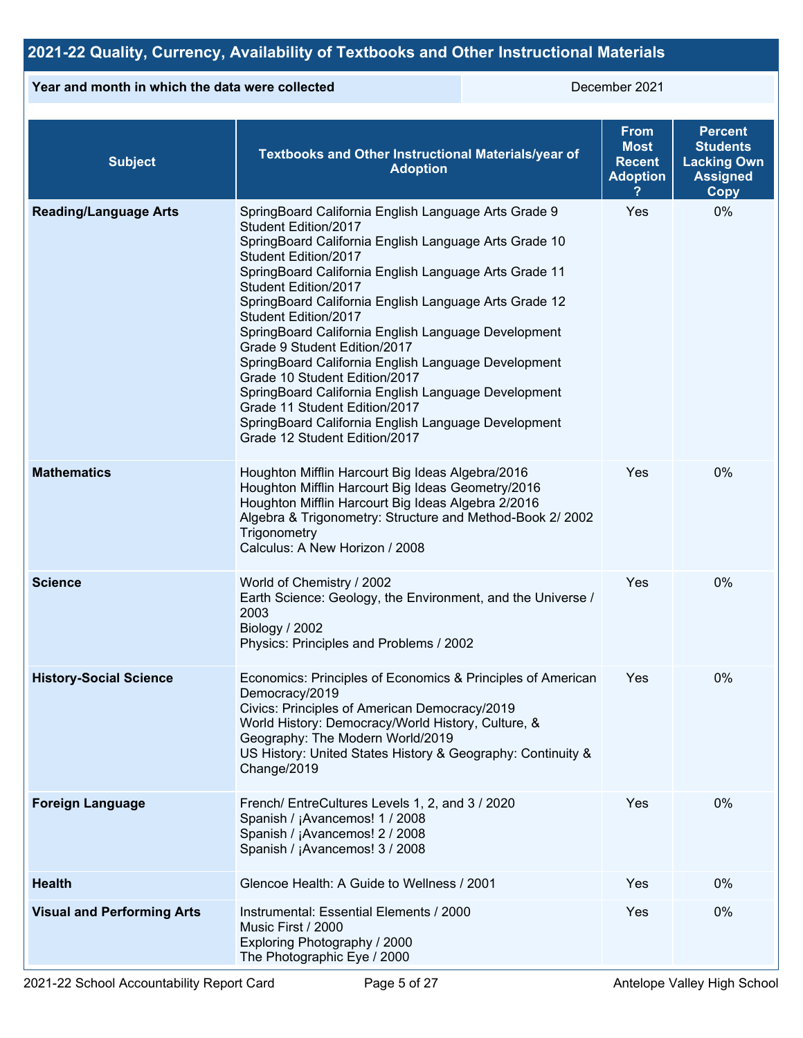## **2021-22 Quality, Currency, Availability of Textbooks and Other Instructional Materials**

#### **Year and month in which the data were collected** December 2021

| <b>Subject</b>                    | Textbooks and Other Instructional Materials/year of<br><b>Adoption</b>                                                                                                                                                                                                                                                                                                                                                                                                                                                                                                                                                                                                                         | <b>From</b><br><b>Most</b><br><b>Recent</b><br><b>Adoption</b> | <b>Percent</b><br><b>Students</b><br><b>Lacking Own</b><br><b>Assigned</b><br><b>Copy</b> |
|-----------------------------------|------------------------------------------------------------------------------------------------------------------------------------------------------------------------------------------------------------------------------------------------------------------------------------------------------------------------------------------------------------------------------------------------------------------------------------------------------------------------------------------------------------------------------------------------------------------------------------------------------------------------------------------------------------------------------------------------|----------------------------------------------------------------|-------------------------------------------------------------------------------------------|
| <b>Reading/Language Arts</b>      | SpringBoard California English Language Arts Grade 9<br>Student Edition/2017<br>SpringBoard California English Language Arts Grade 10<br>Student Edition/2017<br>SpringBoard California English Language Arts Grade 11<br>Student Edition/2017<br>SpringBoard California English Language Arts Grade 12<br>Student Edition/2017<br>SpringBoard California English Language Development<br>Grade 9 Student Edition/2017<br>SpringBoard California English Language Development<br>Grade 10 Student Edition/2017<br>SpringBoard California English Language Development<br>Grade 11 Student Edition/2017<br>SpringBoard California English Language Development<br>Grade 12 Student Edition/2017 | Yes                                                            | 0%                                                                                        |
| <b>Mathematics</b>                | Houghton Mifflin Harcourt Big Ideas Algebra/2016<br>Houghton Mifflin Harcourt Big Ideas Geometry/2016<br>Houghton Mifflin Harcourt Big Ideas Algebra 2/2016<br>Algebra & Trigonometry: Structure and Method-Book 2/2002<br>Trigonometry<br>Calculus: A New Horizon / 2008                                                                                                                                                                                                                                                                                                                                                                                                                      | Yes                                                            | 0%                                                                                        |
| <b>Science</b>                    | World of Chemistry / 2002<br>Earth Science: Geology, the Environment, and the Universe /<br>2003<br>Biology / 2002<br>Physics: Principles and Problems / 2002                                                                                                                                                                                                                                                                                                                                                                                                                                                                                                                                  | Yes                                                            | 0%                                                                                        |
| <b>History-Social Science</b>     | Economics: Principles of Economics & Principles of American<br>Democracy/2019<br>Civics: Principles of American Democracy/2019<br>World History: Democracy/World History, Culture, &<br>Geography: The Modern World/2019<br>US History: United States History & Geography: Continuity &<br>Change/2019                                                                                                                                                                                                                                                                                                                                                                                         | Yes                                                            | 0%                                                                                        |
| <b>Foreign Language</b>           | French/ EntreCultures Levels 1, 2, and 3 / 2020<br>Spanish / ¡Avancemos! 1 / 2008<br>Spanish / ¡Avancemos! 2 / 2008<br>Spanish / ¡Avancemos! 3 / 2008                                                                                                                                                                                                                                                                                                                                                                                                                                                                                                                                          | Yes                                                            | 0%                                                                                        |
| <b>Health</b>                     | Glencoe Health: A Guide to Wellness / 2001                                                                                                                                                                                                                                                                                                                                                                                                                                                                                                                                                                                                                                                     | Yes                                                            | 0%                                                                                        |
| <b>Visual and Performing Arts</b> | Instrumental: Essential Elements / 2000<br>Music First / 2000<br>Exploring Photography / 2000<br>The Photographic Eye / 2000                                                                                                                                                                                                                                                                                                                                                                                                                                                                                                                                                                   | Yes                                                            | 0%                                                                                        |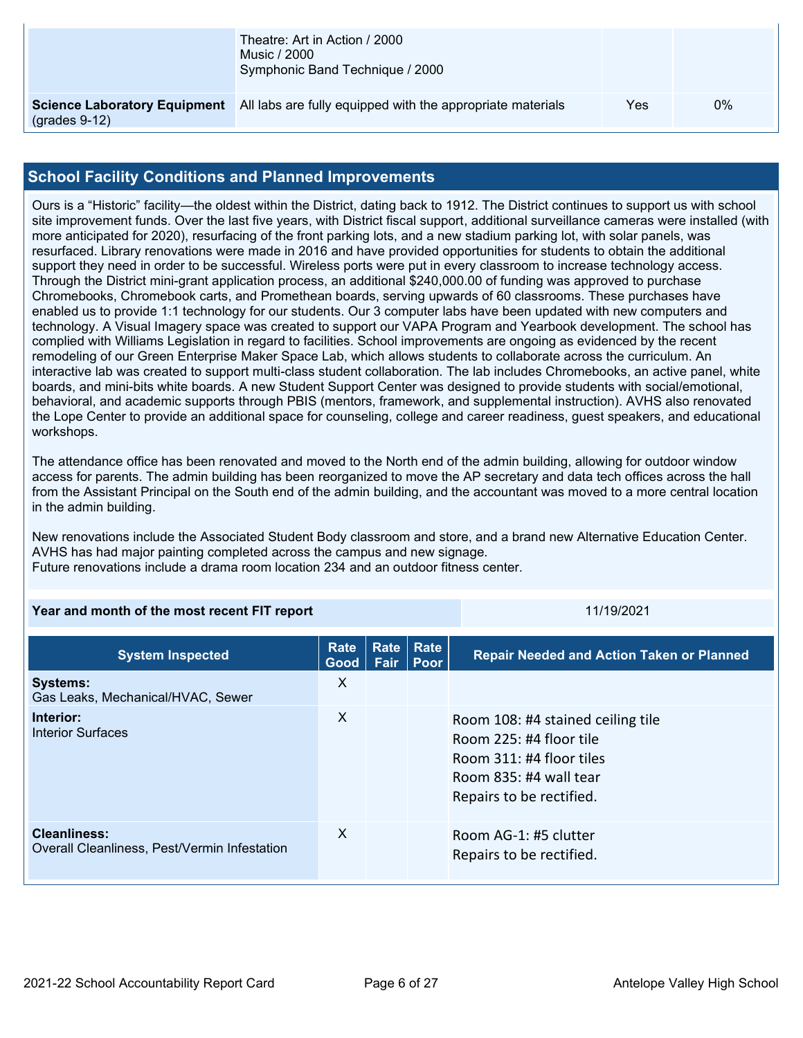|                 | Theatre: Art in Action / 2000<br>Music / 2000<br>Symphonic Band Technique / 2000               |     |    |
|-----------------|------------------------------------------------------------------------------------------------|-----|----|
| $(grades 9-12)$ | <b>Science Laboratory Equipment</b> All labs are fully equipped with the appropriate materials | Yes | 0% |

#### **School Facility Conditions and Planned Improvements**

Ours is a "Historic" facility—the oldest within the District, dating back to 1912. The District continues to support us with school site improvement funds. Over the last five years, with District fiscal support, additional surveillance cameras were installed (with more anticipated for 2020), resurfacing of the front parking lots, and a new stadium parking lot, with solar panels, was resurfaced. Library renovations were made in 2016 and have provided opportunities for students to obtain the additional support they need in order to be successful. Wireless ports were put in every classroom to increase technology access. Through the District mini-grant application process, an additional \$240,000.00 of funding was approved to purchase Chromebooks, Chromebook carts, and Promethean boards, serving upwards of 60 classrooms. These purchases have enabled us to provide 1:1 technology for our students. Our 3 computer labs have been updated with new computers and technology. A Visual Imagery space was created to support our VAPA Program and Yearbook development. The school has complied with Williams Legislation in regard to facilities. School improvements are ongoing as evidenced by the recent remodeling of our Green Enterprise Maker Space Lab, which allows students to collaborate across the curriculum. An interactive lab was created to support multi-class student collaboration. The lab includes Chromebooks, an active panel, white boards, and mini-bits white boards. A new Student Support Center was designed to provide students with social/emotional, behavioral, and academic supports through PBIS (mentors, framework, and supplemental instruction). AVHS also renovated the Lope Center to provide an additional space for counseling, college and career readiness, guest speakers, and educational workshops.

The attendance office has been renovated and moved to the North end of the admin building, allowing for outdoor window access for parents. The admin building has been reorganized to move the AP secretary and data tech offices across the hall from the Assistant Principal on the South end of the admin building, and the accountant was moved to a more central location in the admin building.

New renovations include the Associated Student Body classroom and store, and a brand new Alternative Education Center. AVHS has had major painting completed across the campus and new signage. Future renovations include a drama room location 234 and an outdoor fitness center.

| Year and month of the most recent FIT report | 11/19/2021 |
|----------------------------------------------|------------|
|                                              |            |

**System Inspected Rate Good Rate Rate Fair Poor Repair Needed and Action Taken or Planned Systems:** Gas Leaks, Mechanical/HVAC, Sewer X **Interior:** Interior Surfaces X Room 108: #4 stained ceiling tile Room 225: #4 floor tile Room 311: #4 floor tiles Room 835: #4 wall tear Repairs to be rectified. **Cleanliness:** Overall Cleanliness, Pest/Vermin Infestation X Room AG-1: #5 clutter Repairs to be rectified.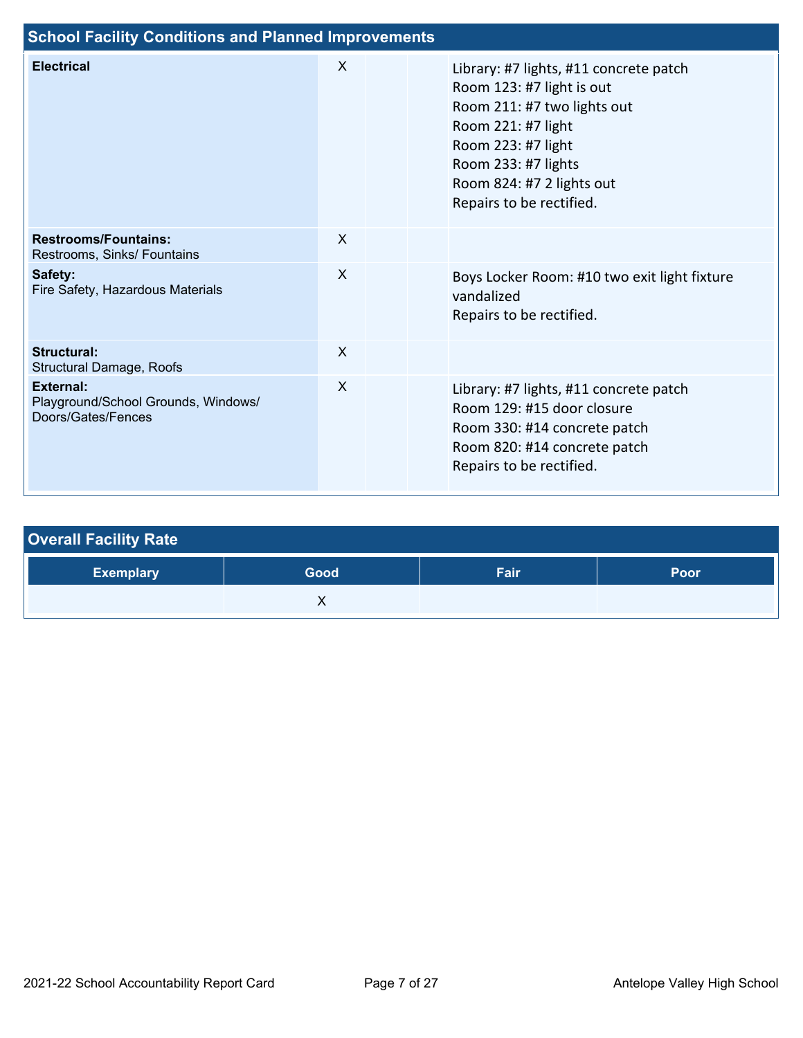| <b>School Facility Conditions and Planned Improvements</b>             |         |  |                                                                                                                                                                                                                                |  |
|------------------------------------------------------------------------|---------|--|--------------------------------------------------------------------------------------------------------------------------------------------------------------------------------------------------------------------------------|--|
| <b>Electrical</b>                                                      | $\sf X$ |  | Library: #7 lights, #11 concrete patch<br>Room 123: #7 light is out<br>Room 211: #7 two lights out<br>Room 221: #7 light<br>Room 223: #7 light<br>Room 233: #7 lights<br>Room 824: #7 2 lights out<br>Repairs to be rectified. |  |
| <b>Restrooms/Fountains:</b><br>Restrooms, Sinks/ Fountains             | X       |  |                                                                                                                                                                                                                                |  |
| Safety:<br>Fire Safety, Hazardous Materials                            | X       |  | Boys Locker Room: #10 two exit light fixture<br>vandalized<br>Repairs to be rectified.                                                                                                                                         |  |
| <b>Structural:</b><br><b>Structural Damage, Roofs</b>                  | X       |  |                                                                                                                                                                                                                                |  |
| External:<br>Playground/School Grounds, Windows/<br>Doors/Gates/Fences | X       |  | Library: #7 lights, #11 concrete patch<br>Room 129: #15 door closure<br>Room 330: #14 concrete patch<br>Room 820: #14 concrete patch<br>Repairs to be rectified.                                                               |  |

| <b>Overall Facility Rate</b> |      |      |      |  |  |
|------------------------------|------|------|------|--|--|
| <b>Exemplary</b>             | Good | Fair | Poor |  |  |
|                              |      |      |      |  |  |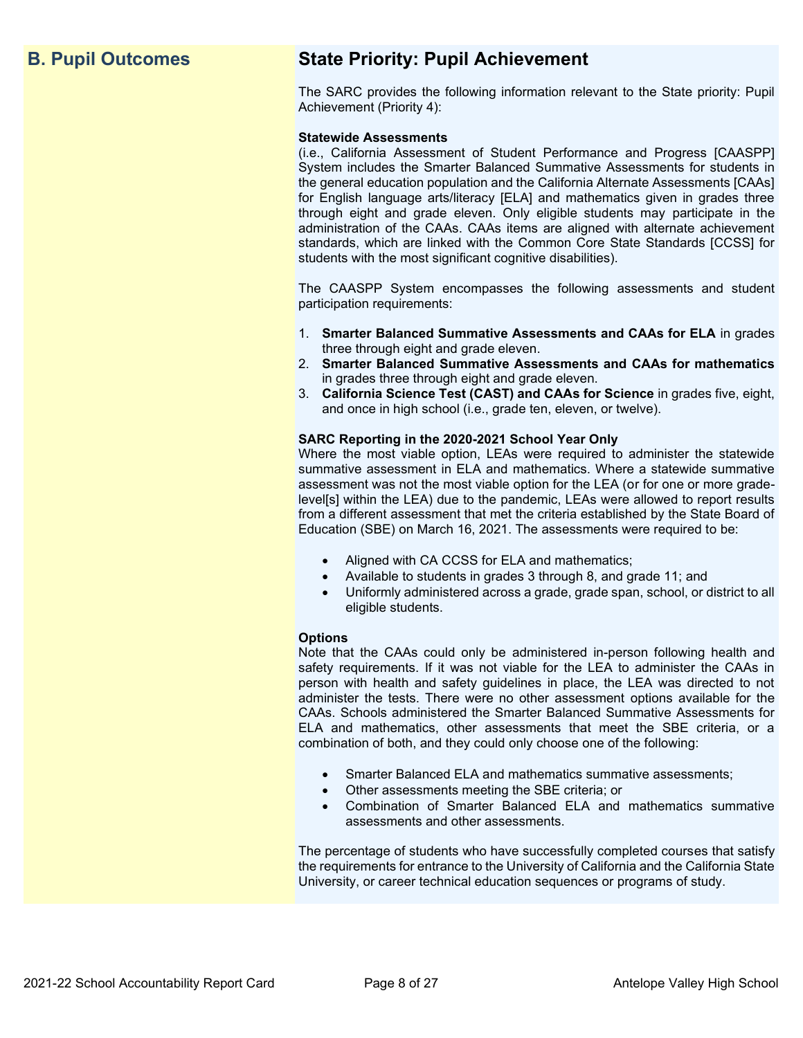## **B. Pupil Outcomes State Priority: Pupil Achievement**

The SARC provides the following information relevant to the State priority: Pupil Achievement (Priority 4):

#### **Statewide Assessments**

(i.e., California Assessment of Student Performance and Progress [CAASPP] System includes the Smarter Balanced Summative Assessments for students in the general education population and the California Alternate Assessments [CAAs] for English language arts/literacy [ELA] and mathematics given in grades three through eight and grade eleven. Only eligible students may participate in the administration of the CAAs. CAAs items are aligned with alternate achievement standards, which are linked with the Common Core State Standards [CCSS] for students with the most significant cognitive disabilities).

The CAASPP System encompasses the following assessments and student participation requirements:

- 1. **Smarter Balanced Summative Assessments and CAAs for ELA** in grades three through eight and grade eleven.
- 2. **Smarter Balanced Summative Assessments and CAAs for mathematics** in grades three through eight and grade eleven.
- 3. **California Science Test (CAST) and CAAs for Science** in grades five, eight, and once in high school (i.e., grade ten, eleven, or twelve).

#### **SARC Reporting in the 2020-2021 School Year Only**

Where the most viable option, LEAs were required to administer the statewide summative assessment in ELA and mathematics. Where a statewide summative assessment was not the most viable option for the LEA (or for one or more gradelevel[s] within the LEA) due to the pandemic, LEAs were allowed to report results from a different assessment that met the criteria established by the State Board of Education (SBE) on March 16, 2021. The assessments were required to be:

- Aligned with CA CCSS for ELA and mathematics;
- Available to students in grades 3 through 8, and grade 11; and
- Uniformly administered across a grade, grade span, school, or district to all eligible students.

#### **Options**

Note that the CAAs could only be administered in-person following health and safety requirements. If it was not viable for the LEA to administer the CAAs in person with health and safety guidelines in place, the LEA was directed to not administer the tests. There were no other assessment options available for the CAAs. Schools administered the Smarter Balanced Summative Assessments for ELA and mathematics, other assessments that meet the SBE criteria, or a combination of both, and they could only choose one of the following:

- Smarter Balanced ELA and mathematics summative assessments;
- Other assessments meeting the SBE criteria; or
- Combination of Smarter Balanced ELA and mathematics summative assessments and other assessments.

The percentage of students who have successfully completed courses that satisfy the requirements for entrance to the University of California and the California State University, or career technical education sequences or programs of study.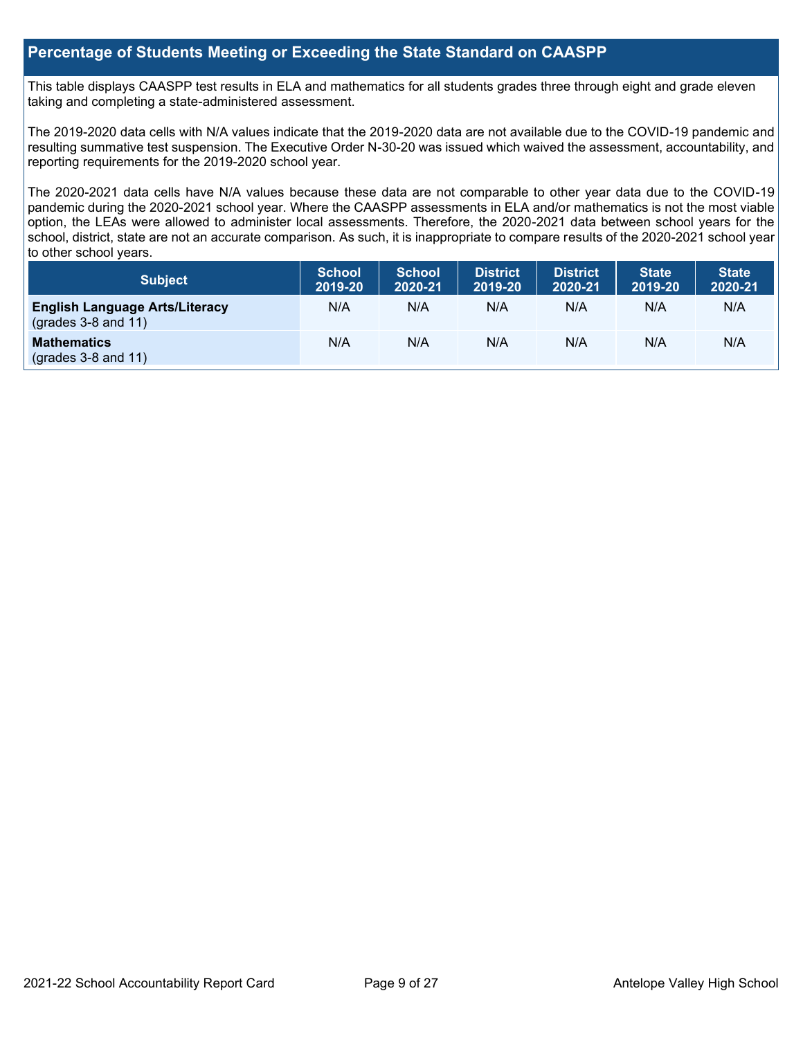#### **Percentage of Students Meeting or Exceeding the State Standard on CAASPP**

This table displays CAASPP test results in ELA and mathematics for all students grades three through eight and grade eleven taking and completing a state-administered assessment.

The 2019-2020 data cells with N/A values indicate that the 2019-2020 data are not available due to the COVID-19 pandemic and resulting summative test suspension. The Executive Order N-30-20 was issued which waived the assessment, accountability, and reporting requirements for the 2019-2020 school year.

The 2020-2021 data cells have N/A values because these data are not comparable to other year data due to the COVID-19 pandemic during the 2020-2021 school year. Where the CAASPP assessments in ELA and/or mathematics is not the most viable option, the LEAs were allowed to administer local assessments. Therefore, the 2020-2021 data between school years for the school, district, state are not an accurate comparison. As such, it is inappropriate to compare results of the 2020-2021 school year to other school years.

| Subject                                                              | <b>School</b><br>2019-20 | <b>School</b><br>2020-21 | <b>District</b><br>2019-20 | <b>District</b><br>2020-21 | <b>State</b><br>2019-20 | <b>State</b><br>2020-21 |
|----------------------------------------------------------------------|--------------------------|--------------------------|----------------------------|----------------------------|-------------------------|-------------------------|
| <b>English Language Arts/Literacy</b><br>$\left($ grades 3-8 and 11) | N/A                      | N/A                      | N/A                        | N/A                        | N/A                     | N/A                     |
| <b>Mathematics</b><br>$(grades 3-8 and 11)$                          | N/A                      | N/A                      | N/A                        | N/A                        | N/A                     | N/A                     |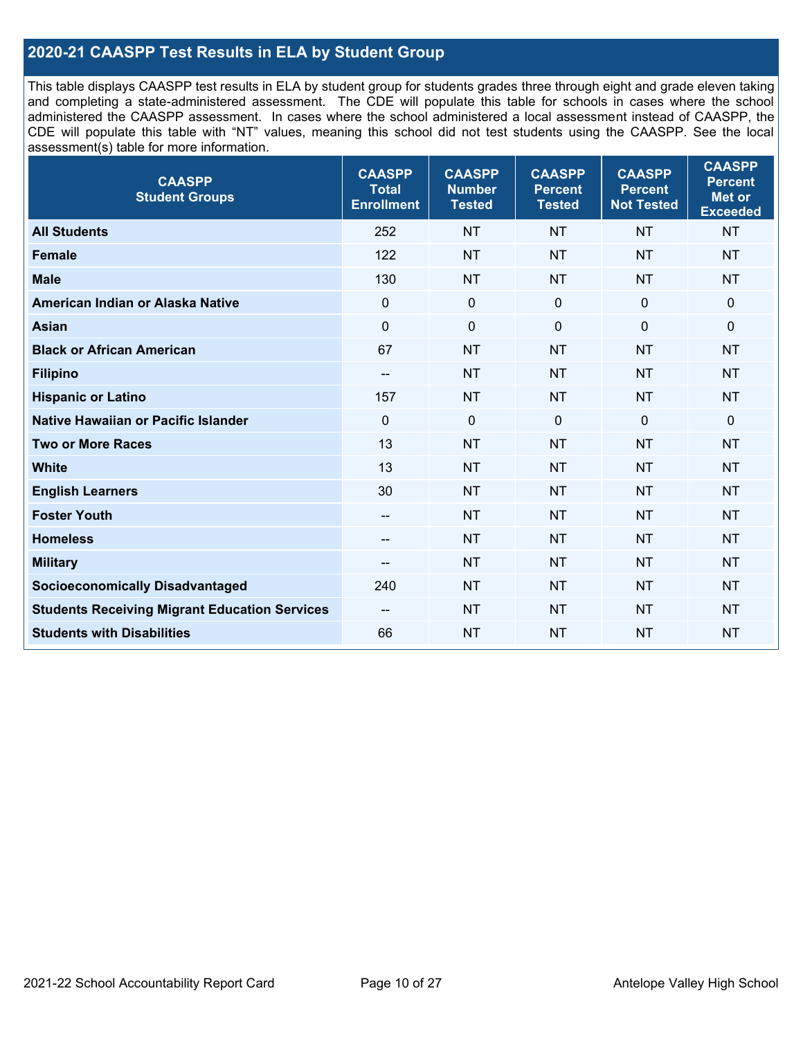#### **2020-21 CAASPP Test Results in ELA by Student Group**

This table displays CAASPP test results in ELA by student group for students grades three through eight and grade eleven taking and completing a state-administered assessment. The CDE will populate this table for schools in cases where the school administered the CAASPP assessment. In cases where the school administered a local assessment instead of CAASPP, the CDE will populate this table with "NT" values, meaning this school did not test students using the CAASPP. See the local assessment(s) table for more information.

| <b>CAASPP</b><br><b>Student Groups</b>               | <b>CAASPP</b><br><b>Total</b><br><b>Enrollment</b> | <b>CAASPP</b><br><b>Number</b><br><b>Tested</b> | <b>CAASPP</b><br><b>Percent</b><br><b>Tested</b> | <b>CAASPP</b><br><b>Percent</b><br><b>Not Tested</b> | <b>CAASPP</b><br><b>Percent</b><br>Met or<br><b>Exceeded</b> |
|------------------------------------------------------|----------------------------------------------------|-------------------------------------------------|--------------------------------------------------|------------------------------------------------------|--------------------------------------------------------------|
| <b>All Students</b>                                  | 252                                                | <b>NT</b>                                       | <b>NT</b>                                        | <b>NT</b>                                            | <b>NT</b>                                                    |
| <b>Female</b>                                        | 122                                                | <b>NT</b>                                       | <b>NT</b>                                        | <b>NT</b>                                            | <b>NT</b>                                                    |
| <b>Male</b>                                          | 130                                                | <b>NT</b>                                       | <b>NT</b>                                        | <b>NT</b>                                            | <b>NT</b>                                                    |
| American Indian or Alaska Native                     | $\mathbf 0$                                        | $\mathbf 0$                                     | $\mathbf 0$                                      | $\mathbf 0$                                          | 0                                                            |
| <b>Asian</b>                                         | $\mathbf 0$                                        | $\pmb{0}$                                       | $\mathbf 0$                                      | $\mathbf 0$                                          | 0                                                            |
| <b>Black or African American</b>                     | 67                                                 | <b>NT</b>                                       | <b>NT</b>                                        | <b>NT</b>                                            | <b>NT</b>                                                    |
| <b>Filipino</b>                                      | --                                                 | <b>NT</b>                                       | <b>NT</b>                                        | <b>NT</b>                                            | <b>NT</b>                                                    |
| <b>Hispanic or Latino</b>                            | 157                                                | <b>NT</b>                                       | <b>NT</b>                                        | <b>NT</b>                                            | <b>NT</b>                                                    |
| <b>Native Hawaiian or Pacific Islander</b>           | $\mathbf 0$                                        | $\mathbf 0$                                     | $\mathbf 0$                                      | $\mathbf 0$                                          | 0                                                            |
| <b>Two or More Races</b>                             | 13                                                 | <b>NT</b>                                       | <b>NT</b>                                        | <b>NT</b>                                            | <b>NT</b>                                                    |
| <b>White</b>                                         | 13                                                 | <b>NT</b>                                       | <b>NT</b>                                        | <b>NT</b>                                            | <b>NT</b>                                                    |
| <b>English Learners</b>                              | 30                                                 | <b>NT</b>                                       | <b>NT</b>                                        | <b>NT</b>                                            | <b>NT</b>                                                    |
| <b>Foster Youth</b>                                  | $\overline{\phantom{a}}$                           | <b>NT</b>                                       | <b>NT</b>                                        | <b>NT</b>                                            | <b>NT</b>                                                    |
| <b>Homeless</b>                                      | --                                                 | <b>NT</b>                                       | <b>NT</b>                                        | <b>NT</b>                                            | <b>NT</b>                                                    |
| <b>Military</b>                                      | --                                                 | <b>NT</b>                                       | <b>NT</b>                                        | <b>NT</b>                                            | <b>NT</b>                                                    |
| <b>Socioeconomically Disadvantaged</b>               | 240                                                | <b>NT</b>                                       | <b>NT</b>                                        | <b>NT</b>                                            | <b>NT</b>                                                    |
| <b>Students Receiving Migrant Education Services</b> | $-$                                                | <b>NT</b>                                       | <b>NT</b>                                        | <b>NT</b>                                            | <b>NT</b>                                                    |
| <b>Students with Disabilities</b>                    | 66                                                 | <b>NT</b>                                       | <b>NT</b>                                        | <b>NT</b>                                            | <b>NT</b>                                                    |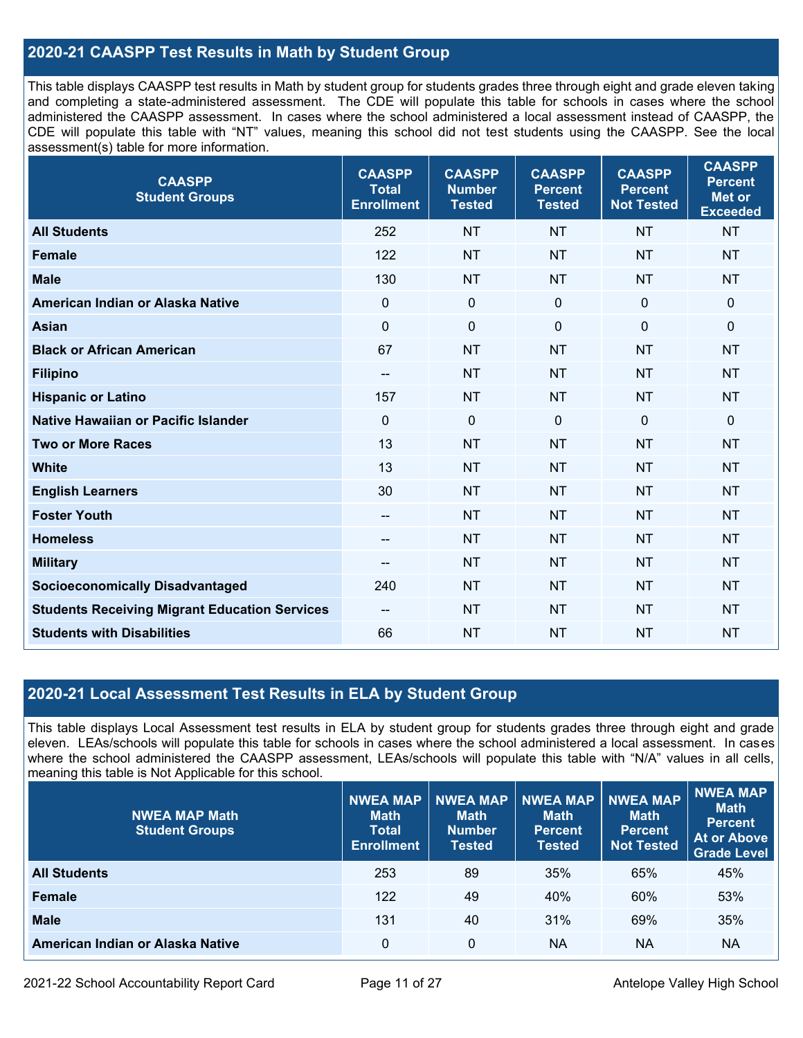#### **2020-21 CAASPP Test Results in Math by Student Group**

This table displays CAASPP test results in Math by student group for students grades three through eight and grade eleven taking and completing a state-administered assessment. The CDE will populate this table for schools in cases where the school administered the CAASPP assessment. In cases where the school administered a local assessment instead of CAASPP, the CDE will populate this table with "NT" values, meaning this school did not test students using the CAASPP. See the local assessment(s) table for more information.

| <b>CAASPP</b><br><b>Student Groups</b>               | <b>CAASPP</b><br><b>Total</b><br><b>Enrollment</b> | <b>CAASPP</b><br><b>Number</b><br><b>Tested</b> | <b>CAASPP</b><br><b>Percent</b><br><b>Tested</b> | <b>CAASPP</b><br><b>Percent</b><br><b>Not Tested</b> | <b>CAASPP</b><br><b>Percent</b><br><b>Met or</b><br><b>Exceeded</b> |
|------------------------------------------------------|----------------------------------------------------|-------------------------------------------------|--------------------------------------------------|------------------------------------------------------|---------------------------------------------------------------------|
| <b>All Students</b>                                  | 252                                                | <b>NT</b>                                       | <b>NT</b>                                        | <b>NT</b>                                            | <b>NT</b>                                                           |
| <b>Female</b>                                        | 122                                                | <b>NT</b>                                       | <b>NT</b>                                        | <b>NT</b>                                            | <b>NT</b>                                                           |
| <b>Male</b>                                          | 130                                                | <b>NT</b>                                       | <b>NT</b>                                        | <b>NT</b>                                            | <b>NT</b>                                                           |
| American Indian or Alaska Native                     | $\mathbf 0$                                        | $\mathbf 0$                                     | $\mathbf 0$                                      | $\mathbf 0$                                          | $\mathbf 0$                                                         |
| <b>Asian</b>                                         | $\mathbf 0$                                        | $\pmb{0}$                                       | $\mathbf 0$                                      | $\mathbf 0$                                          | $\mathbf 0$                                                         |
| <b>Black or African American</b>                     | 67                                                 | <b>NT</b>                                       | <b>NT</b>                                        | <b>NT</b>                                            | <b>NT</b>                                                           |
| <b>Filipino</b>                                      | $\overline{\phantom{a}}$                           | <b>NT</b>                                       | <b>NT</b>                                        | <b>NT</b>                                            | <b>NT</b>                                                           |
| <b>Hispanic or Latino</b>                            | 157                                                | <b>NT</b>                                       | <b>NT</b>                                        | <b>NT</b>                                            | <b>NT</b>                                                           |
| <b>Native Hawaiian or Pacific Islander</b>           | $\mathbf 0$                                        | $\boldsymbol{0}$                                | $\mathbf 0$                                      | $\mathbf 0$                                          | $\mathbf 0$                                                         |
| <b>Two or More Races</b>                             | 13                                                 | <b>NT</b>                                       | <b>NT</b>                                        | <b>NT</b>                                            | <b>NT</b>                                                           |
| <b>White</b>                                         | 13                                                 | <b>NT</b>                                       | <b>NT</b>                                        | <b>NT</b>                                            | <b>NT</b>                                                           |
| <b>English Learners</b>                              | 30                                                 | <b>NT</b>                                       | <b>NT</b>                                        | <b>NT</b>                                            | <b>NT</b>                                                           |
| <b>Foster Youth</b>                                  | $\overline{\phantom{a}}$                           | <b>NT</b>                                       | <b>NT</b>                                        | <b>NT</b>                                            | <b>NT</b>                                                           |
| <b>Homeless</b>                                      | $\qquad \qquad -$                                  | <b>NT</b>                                       | <b>NT</b>                                        | <b>NT</b>                                            | <b>NT</b>                                                           |
| <b>Military</b>                                      | $\qquad \qquad -$                                  | <b>NT</b>                                       | <b>NT</b>                                        | <b>NT</b>                                            | <b>NT</b>                                                           |
| <b>Socioeconomically Disadvantaged</b>               | 240                                                | <b>NT</b>                                       | <b>NT</b>                                        | <b>NT</b>                                            | <b>NT</b>                                                           |
| <b>Students Receiving Migrant Education Services</b> | --                                                 | <b>NT</b>                                       | <b>NT</b>                                        | <b>NT</b>                                            | <b>NT</b>                                                           |
| <b>Students with Disabilities</b>                    | 66                                                 | <b>NT</b>                                       | <b>NT</b>                                        | <b>NT</b>                                            | <b>NT</b>                                                           |

#### **2020-21 Local Assessment Test Results in ELA by Student Group**

This table displays Local Assessment test results in ELA by student group for students grades three through eight and grade eleven. LEAs/schools will populate this table for schools in cases where the school administered a local assessment. In cases where the school administered the CAASPP assessment, LEAs/schools will populate this table with "N/A" values in all cells, meaning this table is Not Applicable for this school.

| <b>NWEA MAP Math</b><br><b>Student Groups</b> | <b>NWEA MAP</b><br><b>Math</b><br><b>Total</b><br><b>Enrollment</b> | <b>NWEA MAP</b><br><b>Math</b><br><b>Number</b><br>Tested | <b>NWEA MAP</b><br><b>Math</b><br><b>Percent</b><br><b>Tested</b> | <b>NWEA MAP</b><br><b>Math</b><br>Percent<br><b>Not Tested</b> | NWEA MAP<br><b>Math</b><br><b>Percent</b><br><b>At or Above</b><br><b>Grade Level</b> |
|-----------------------------------------------|---------------------------------------------------------------------|-----------------------------------------------------------|-------------------------------------------------------------------|----------------------------------------------------------------|---------------------------------------------------------------------------------------|
| <b>All Students</b>                           | 253                                                                 | 89                                                        | 35%                                                               | 65%                                                            | 45%                                                                                   |
| <b>Female</b>                                 | 122                                                                 | 49                                                        | 40%                                                               | 60%                                                            | 53%                                                                                   |
| <b>Male</b>                                   | 131                                                                 | 40                                                        | 31%                                                               | 69%                                                            | 35%                                                                                   |
| American Indian or Alaska Native              | 0                                                                   | 0                                                         | <b>NA</b>                                                         | <b>NA</b>                                                      | <b>NA</b>                                                                             |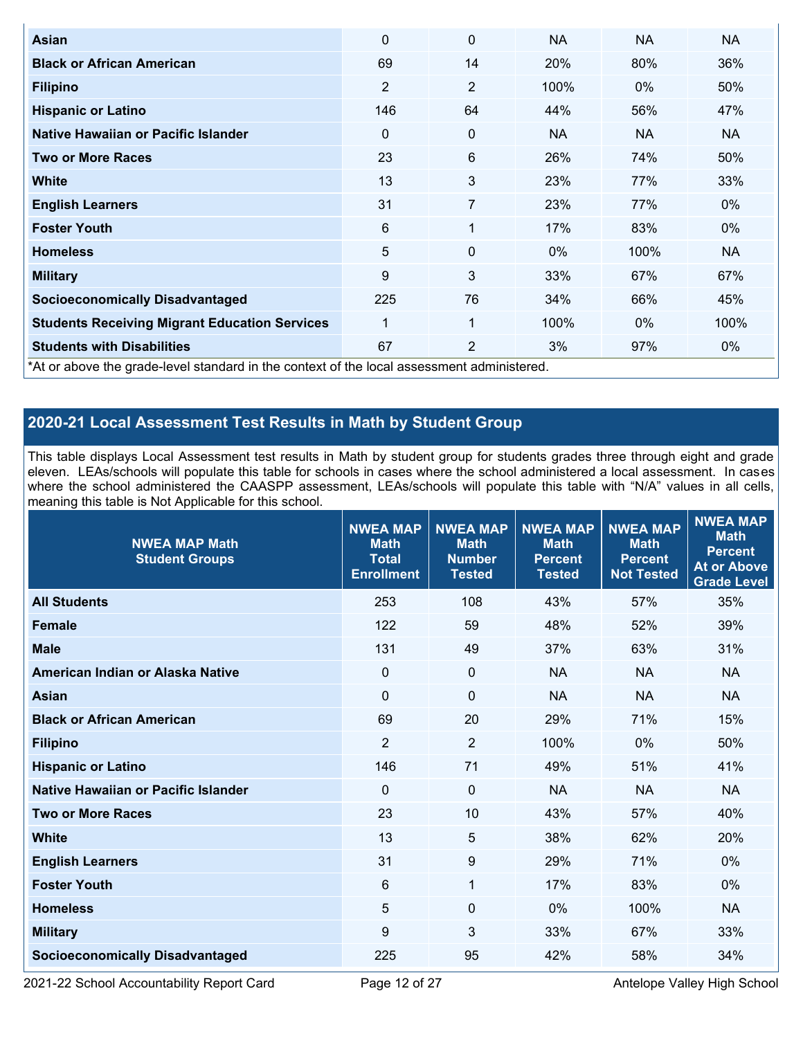| Asian                                                | $\Omega$                                                                                   | 0              | <b>NA</b> | <b>NA</b> | <b>NA</b> |  |  |  |  |
|------------------------------------------------------|--------------------------------------------------------------------------------------------|----------------|-----------|-----------|-----------|--|--|--|--|
| <b>Black or African American</b>                     | 69                                                                                         | 14             | 20%       | 80%       | 36%       |  |  |  |  |
| <b>Filipino</b>                                      | $\overline{2}$                                                                             | $\overline{2}$ | 100%      | 0%        | 50%       |  |  |  |  |
| <b>Hispanic or Latino</b>                            | 146                                                                                        | 64             | 44%       | 56%       | 47%       |  |  |  |  |
| Native Hawaiian or Pacific Islander                  | $\Omega$                                                                                   | 0              | <b>NA</b> | <b>NA</b> | NA.       |  |  |  |  |
| <b>Two or More Races</b>                             | 23                                                                                         | 6              | 26%       | 74%       | 50%       |  |  |  |  |
| <b>White</b>                                         | 13                                                                                         | 3              | 23%       | 77%       | 33%       |  |  |  |  |
| <b>English Learners</b>                              | 31                                                                                         | 7              | 23%       | 77%       | $0\%$     |  |  |  |  |
| <b>Foster Youth</b>                                  | 6                                                                                          | 1              | 17%       | 83%       | $0\%$     |  |  |  |  |
| <b>Homeless</b>                                      | 5                                                                                          | 0              | $0\%$     | 100%      | <b>NA</b> |  |  |  |  |
| <b>Military</b>                                      | 9                                                                                          | 3              | 33%       | 67%       | 67%       |  |  |  |  |
| <b>Socioeconomically Disadvantaged</b>               | 225                                                                                        | 76             | 34%       | 66%       | 45%       |  |  |  |  |
| <b>Students Receiving Migrant Education Services</b> | 1                                                                                          | 1              | 100%      | $0\%$     | 100%      |  |  |  |  |
| <b>Students with Disabilities</b>                    | 67                                                                                         | $\overline{2}$ | 3%        | 97%       | $0\%$     |  |  |  |  |
|                                                      | *At or above the grade-level standard in the context of the local assessment administered. |                |           |           |           |  |  |  |  |

## **2020-21 Local Assessment Test Results in Math by Student Group**

This table displays Local Assessment test results in Math by student group for students grades three through eight and grade eleven. LEAs/schools will populate this table for schools in cases where the school administered a local assessment. In cases where the school administered the CAASPP assessment, LEAs/schools will populate this table with "N/A" values in all cells, meaning this table is Not Applicable for this school.

| <b>NWEA MAP Math</b><br><b>Student Groups</b> | <b>NWEA MAP</b><br><b>Math</b><br><b>Total</b><br><b>Enrollment</b> | <b>NWEA MAP</b><br><b>Math</b><br><b>Number</b><br><b>Tested</b> | <b>NWEA MAP</b><br><b>Math</b><br><b>Percent</b><br><b>Tested</b> | <b>NWEA MAP</b><br><b>Math</b><br><b>Percent</b><br><b>Not Tested</b> | <b>NWEA MAP</b><br><b>Math</b><br><b>Percent</b><br><b>At or Above</b><br><b>Grade Level</b> |
|-----------------------------------------------|---------------------------------------------------------------------|------------------------------------------------------------------|-------------------------------------------------------------------|-----------------------------------------------------------------------|----------------------------------------------------------------------------------------------|
| <b>All Students</b>                           | 253                                                                 | 108                                                              | 43%                                                               | 57%                                                                   | 35%                                                                                          |
| <b>Female</b>                                 | 122                                                                 | 59                                                               | 48%                                                               | 52%                                                                   | 39%                                                                                          |
| <b>Male</b>                                   | 131                                                                 | 49                                                               | 37%                                                               | 63%                                                                   | 31%                                                                                          |
| American Indian or Alaska Native              | $\mathbf 0$                                                         | $\mathbf 0$                                                      | <b>NA</b>                                                         | <b>NA</b>                                                             | <b>NA</b>                                                                                    |
| <b>Asian</b>                                  | 0                                                                   | $\mathbf 0$                                                      | <b>NA</b>                                                         | <b>NA</b>                                                             | <b>NA</b>                                                                                    |
| <b>Black or African American</b>              | 69                                                                  | 20                                                               | 29%                                                               | 71%                                                                   | 15%                                                                                          |
| <b>Filipino</b>                               | $\overline{2}$                                                      | $\overline{2}$                                                   | 100%                                                              | 0%                                                                    | 50%                                                                                          |
| <b>Hispanic or Latino</b>                     | 146                                                                 | 71                                                               | 49%                                                               | 51%                                                                   | 41%                                                                                          |
| Native Hawaiian or Pacific Islander           | $\mathbf 0$                                                         | $\mathbf 0$                                                      | <b>NA</b>                                                         | <b>NA</b>                                                             | <b>NA</b>                                                                                    |
| <b>Two or More Races</b>                      | 23                                                                  | 10                                                               | 43%                                                               | 57%                                                                   | 40%                                                                                          |
| <b>White</b>                                  | 13                                                                  | 5                                                                | 38%                                                               | 62%                                                                   | 20%                                                                                          |
| <b>English Learners</b>                       | 31                                                                  | 9                                                                | 29%                                                               | 71%                                                                   | 0%                                                                                           |
| <b>Foster Youth</b>                           | $6\phantom{1}$                                                      | $\mathbf{1}$                                                     | 17%                                                               | 83%                                                                   | 0%                                                                                           |
| <b>Homeless</b>                               | 5                                                                   | 0                                                                | $0\%$                                                             | 100%                                                                  | <b>NA</b>                                                                                    |
| <b>Military</b>                               | 9                                                                   | 3                                                                | 33%                                                               | 67%                                                                   | 33%                                                                                          |
| <b>Socioeconomically Disadvantaged</b>        | 225                                                                 | 95                                                               | 42%                                                               | 58%                                                                   | 34%                                                                                          |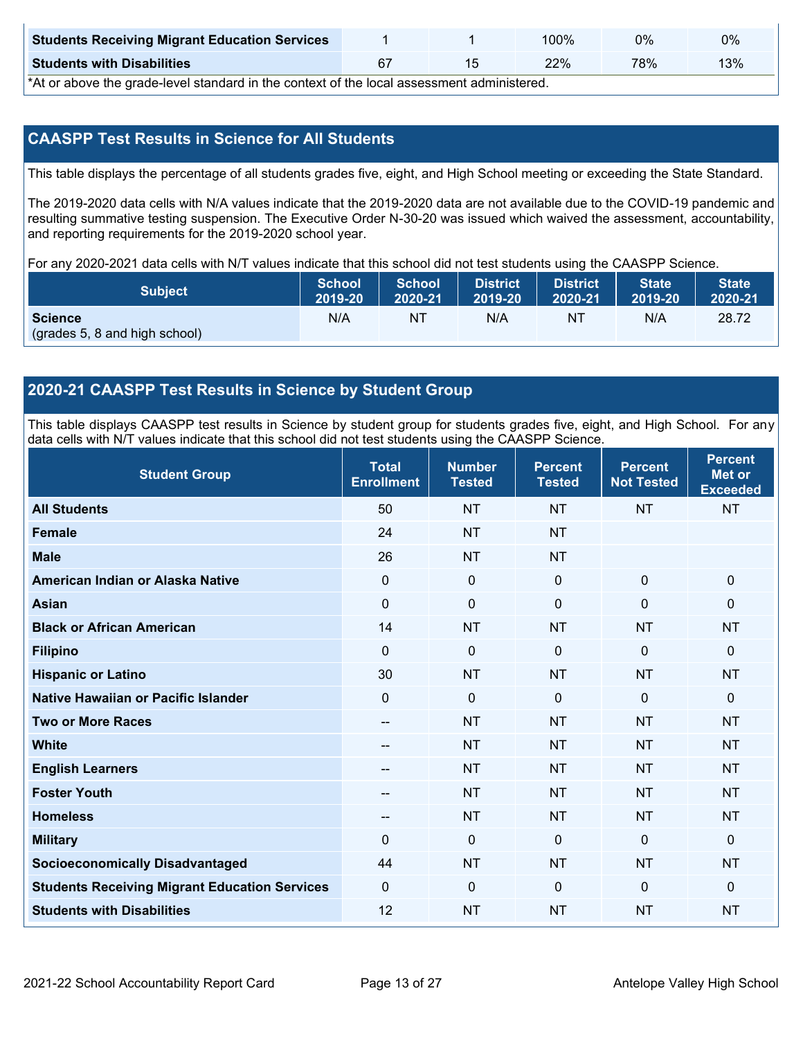| <b>Students Receiving Migrant Education Services</b> |  | 00%ا | 0%  | 0%  |
|------------------------------------------------------|--|------|-----|-----|
| <b>Students with Disabilities</b>                    |  | 22%  | 78% | 13% |

\*At or above the grade-level standard in the context of the local assessment administered.

#### **CAASPP Test Results in Science for All Students**

This table displays the percentage of all students grades five, eight, and High School meeting or exceeding the State Standard.

The 2019-2020 data cells with N/A values indicate that the 2019-2020 data are not available due to the COVID-19 pandemic and resulting summative testing suspension. The Executive Order N-30-20 was issued which waived the assessment, accountability, and reporting requirements for the 2019-2020 school year.

For any 2020-2021 data cells with N/T values indicate that this school did not test students using the CAASPP Science.

| <b>Subject</b>                                  | School  | <b>School</b> | <b>District</b> | <b>District</b> | <b>State</b> | <b>State</b> |
|-------------------------------------------------|---------|---------------|-----------------|-----------------|--------------|--------------|
|                                                 | 2019-20 | 2020-21       | 2019-20         | 2020-21         | 2019-20      | 2020-21      |
| <b>Science</b><br>(grades 5, 8 and high school) | N/A     | NT            | N/A             | N1              | N/A          | 28.72        |

#### **2020-21 CAASPP Test Results in Science by Student Group**

This table displays CAASPP test results in Science by student group for students grades five, eight, and High School. For any data cells with N/T values indicate that this school did not test students using the CAASPP Science.

| <b>Student Group</b>                                 | <b>Total</b><br><b>Enrollment</b> | <b>Number</b><br><b>Tested</b> | <b>Percent</b><br><b>Tested</b> | <b>Percent</b><br><b>Not Tested</b> | <b>Percent</b><br><b>Met or</b><br><b>Exceeded</b> |
|------------------------------------------------------|-----------------------------------|--------------------------------|---------------------------------|-------------------------------------|----------------------------------------------------|
| <b>All Students</b>                                  | 50                                | <b>NT</b>                      | <b>NT</b>                       | <b>NT</b>                           | <b>NT</b>                                          |
| <b>Female</b>                                        | 24                                | <b>NT</b>                      | <b>NT</b>                       |                                     |                                                    |
| <b>Male</b>                                          | 26                                | <b>NT</b>                      | <b>NT</b>                       |                                     |                                                    |
| American Indian or Alaska Native                     | $\mathbf 0$                       | $\mathbf 0$                    | $\mathbf 0$                     | $\mathbf 0$                         | $\mathbf 0$                                        |
| <b>Asian</b>                                         | $\mathbf 0$                       | $\mathbf 0$                    | $\mathbf 0$                     | $\mathbf 0$                         | $\mathbf 0$                                        |
| <b>Black or African American</b>                     | 14                                | <b>NT</b>                      | <b>NT</b>                       | <b>NT</b>                           | <b>NT</b>                                          |
| <b>Filipino</b>                                      | $\mathbf 0$                       | $\mathbf 0$                    | $\Omega$                        | $\mathbf{0}$                        | 0                                                  |
| <b>Hispanic or Latino</b>                            | 30                                | <b>NT</b>                      | <b>NT</b>                       | <b>NT</b>                           | <b>NT</b>                                          |
| Native Hawaiian or Pacific Islander                  | 0                                 | $\mathbf 0$                    | $\mathbf 0$                     | $\mathbf 0$                         | $\mathbf 0$                                        |
| <b>Two or More Races</b>                             | --                                | <b>NT</b>                      | <b>NT</b>                       | <b>NT</b>                           | <b>NT</b>                                          |
| <b>White</b>                                         | --                                | <b>NT</b>                      | <b>NT</b>                       | <b>NT</b>                           | <b>NT</b>                                          |
| <b>English Learners</b>                              | --                                | <b>NT</b>                      | <b>NT</b>                       | <b>NT</b>                           | <b>NT</b>                                          |
| <b>Foster Youth</b>                                  | --                                | <b>NT</b>                      | <b>NT</b>                       | <b>NT</b>                           | <b>NT</b>                                          |
| <b>Homeless</b>                                      | --                                | <b>NT</b>                      | <b>NT</b>                       | <b>NT</b>                           | <b>NT</b>                                          |
| <b>Military</b>                                      | $\mathbf{0}$                      | $\mathbf 0$                    | $\mathbf 0$                     | $\mathbf{0}$                        | $\mathbf 0$                                        |
| <b>Socioeconomically Disadvantaged</b>               | 44                                | <b>NT</b>                      | <b>NT</b>                       | <b>NT</b>                           | <b>NT</b>                                          |
| <b>Students Receiving Migrant Education Services</b> | $\mathbf{0}$                      | $\mathbf 0$                    | $\Omega$                        | $\mathbf 0$                         | $\Omega$                                           |
| <b>Students with Disabilities</b>                    | 12                                | <b>NT</b>                      | <b>NT</b>                       | <b>NT</b>                           | <b>NT</b>                                          |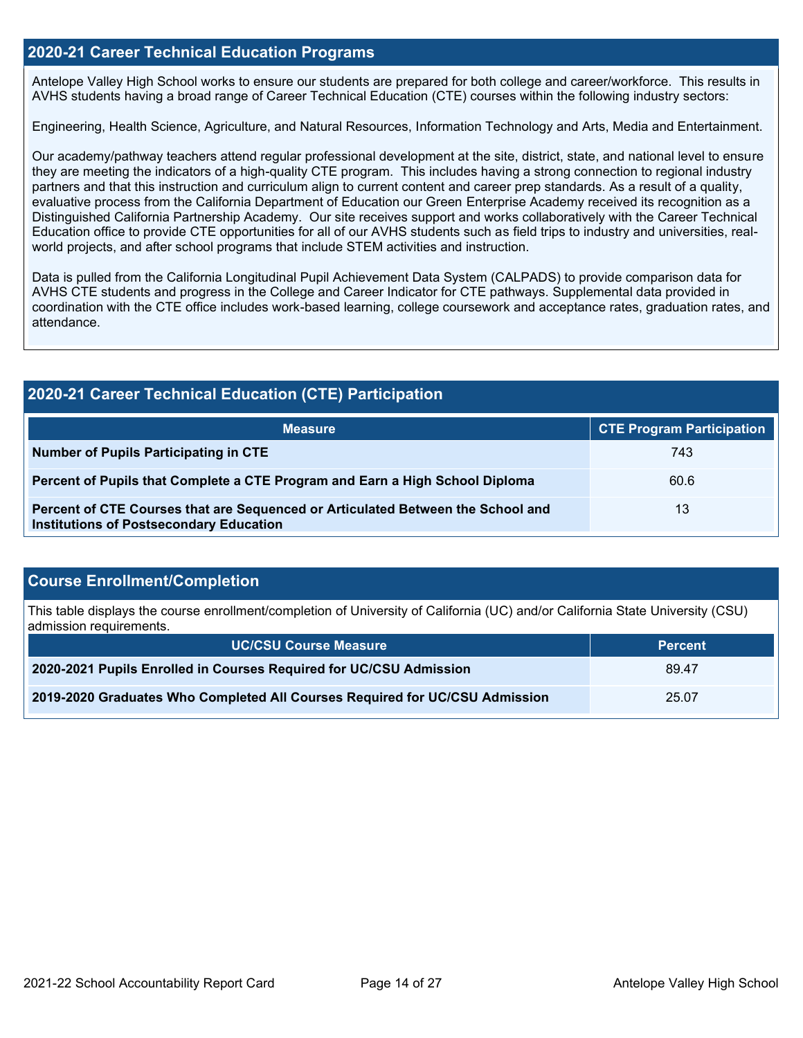#### **2020-21 Career Technical Education Programs**

Antelope Valley High School works to ensure our students are prepared for both college and career/workforce. This results in AVHS students having a broad range of Career Technical Education (CTE) courses within the following industry sectors:

Engineering, Health Science, Agriculture, and Natural Resources, Information Technology and Arts, Media and Entertainment.

Our academy/pathway teachers attend regular professional development at the site, district, state, and national level to ensure they are meeting the indicators of a high-quality CTE program. This includes having a strong connection to regional industry partners and that this instruction and curriculum align to current content and career prep standards. As a result of a quality, evaluative process from the California Department of Education our Green Enterprise Academy received its recognition as a Distinguished California Partnership Academy. Our site receives support and works collaboratively with the Career Technical Education office to provide CTE opportunities for all of our AVHS students such as field trips to industry and universities, realworld projects, and after school programs that include STEM activities and instruction.

Data is pulled from the California Longitudinal Pupil Achievement Data System (CALPADS) to provide comparison data for AVHS CTE students and progress in the College and Career Indicator for CTE pathways. Supplemental data provided in coordination with the CTE office includes work-based learning, college coursework and acceptance rates, graduation rates, and attendance.

## **2020-21 Career Technical Education (CTE) Participation**

| <b>Measure</b>                                                                                                                    | <b>CTE Program Participation</b> |
|-----------------------------------------------------------------------------------------------------------------------------------|----------------------------------|
| <b>Number of Pupils Participating in CTE</b>                                                                                      | 743                              |
| Percent of Pupils that Complete a CTE Program and Earn a High School Diploma                                                      | 60.6                             |
| Percent of CTE Courses that are Sequenced or Articulated Between the School and<br><b>Institutions of Postsecondary Education</b> | 13                               |

#### **Course Enrollment/Completion**

This table displays the course enrollment/completion of University of California (UC) and/or California State University (CSU) admission requirements.

| <b>UC/CSU Course Measure</b>                                                | <b>Percent</b> |
|-----------------------------------------------------------------------------|----------------|
| 2020-2021 Pupils Enrolled in Courses Required for UC/CSU Admission          | 89.47          |
| 2019-2020 Graduates Who Completed All Courses Required for UC/CSU Admission | 25.07          |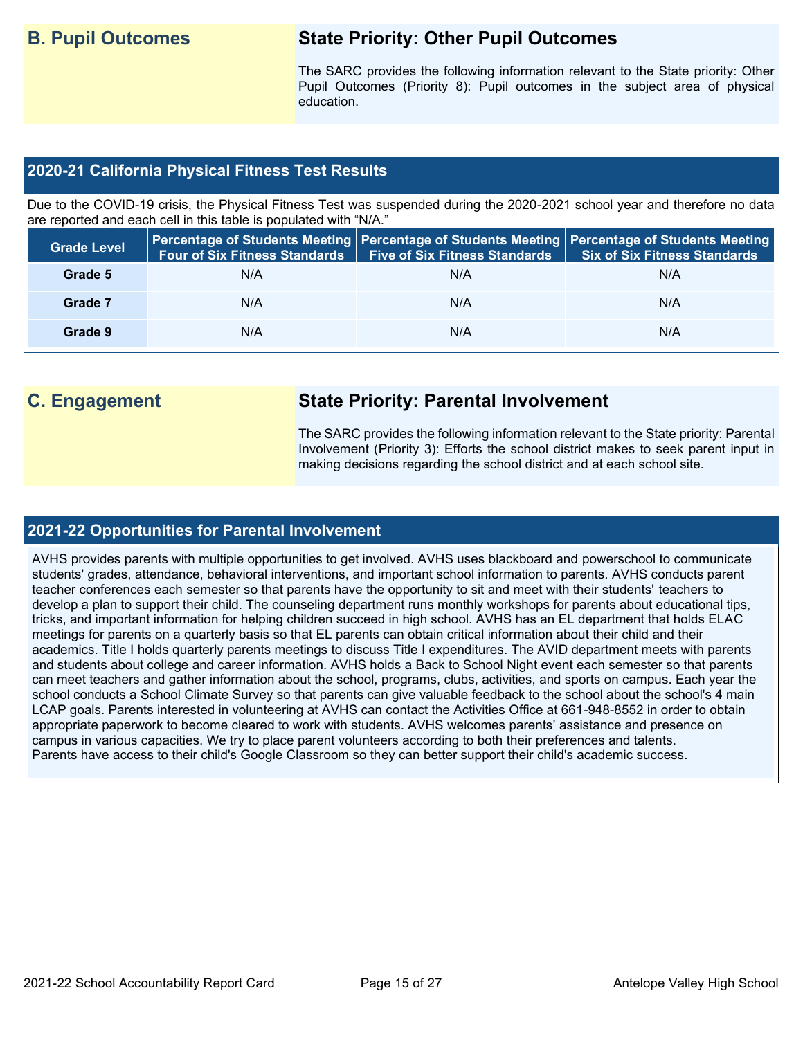## **B. Pupil Outcomes State Priority: Other Pupil Outcomes**

The SARC provides the following information relevant to the State priority: Other Pupil Outcomes (Priority 8): Pupil outcomes in the subject area of physical education.

#### **2020-21 California Physical Fitness Test Results**

Due to the COVID-19 crisis, the Physical Fitness Test was suspended during the 2020-2021 school year and therefore no data are reported and each cell in this table is populated with "N/A."

| <b>Grade Level</b> | <b>Four of Six Fitness Standards</b> | <b>Five of Six Fitness Standards</b> | Percentage of Students Meeting   Percentage of Students Meeting   Percentage of Students Meeting  <br><b>Six of Six Fitness Standards</b> |
|--------------------|--------------------------------------|--------------------------------------|-------------------------------------------------------------------------------------------------------------------------------------------|
| Grade 5            | N/A                                  | N/A                                  | N/A                                                                                                                                       |
| Grade 7            | N/A                                  | N/A                                  | N/A                                                                                                                                       |
| Grade 9            | N/A                                  | N/A                                  | N/A                                                                                                                                       |

## **C. Engagement State Priority: Parental Involvement**

The SARC provides the following information relevant to the State priority: Parental Involvement (Priority 3): Efforts the school district makes to seek parent input in making decisions regarding the school district and at each school site.

#### **2021-22 Opportunities for Parental Involvement**

AVHS provides parents with multiple opportunities to get involved. AVHS uses blackboard and powerschool to communicate students' grades, attendance, behavioral interventions, and important school information to parents. AVHS conducts parent teacher conferences each semester so that parents have the opportunity to sit and meet with their students' teachers to develop a plan to support their child. The counseling department runs monthly workshops for parents about educational tips, tricks, and important information for helping children succeed in high school. AVHS has an EL department that holds ELAC meetings for parents on a quarterly basis so that EL parents can obtain critical information about their child and their academics. Title I holds quarterly parents meetings to discuss Title I expenditures. The AVID department meets with parents and students about college and career information. AVHS holds a Back to School Night event each semester so that parents can meet teachers and gather information about the school, programs, clubs, activities, and sports on campus. Each year the school conducts a School Climate Survey so that parents can give valuable feedback to the school about the school's 4 main LCAP goals. Parents interested in volunteering at AVHS can contact the Activities Office at 661-948-8552 in order to obtain appropriate paperwork to become cleared to work with students. AVHS welcomes parents' assistance and presence on campus in various capacities. We try to place parent volunteers according to both their preferences and talents. Parents have access to their child's Google Classroom so they can better support their child's academic success.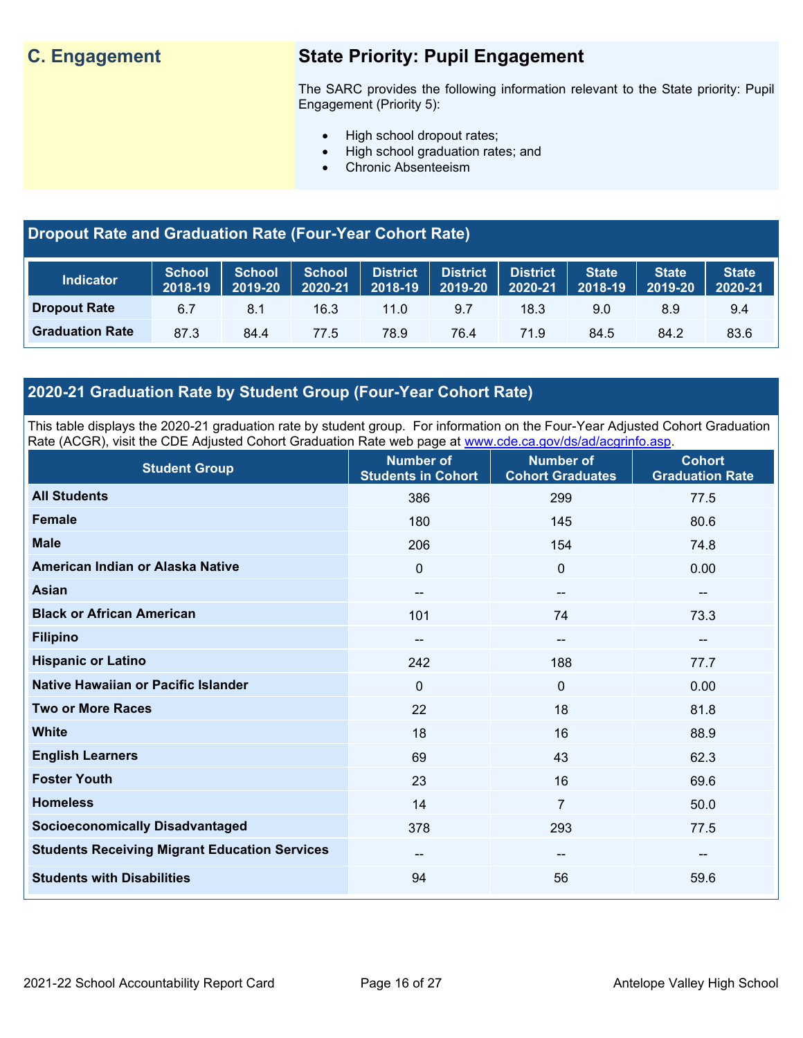## **C. Engagement State Priority: Pupil Engagement**

The SARC provides the following information relevant to the State priority: Pupil Engagement (Priority 5):

- High school dropout rates;
- High school graduation rates; and
- Chronic Absenteeism

### **Dropout Rate and Graduation Rate (Four-Year Cohort Rate)**

| <b>Indicator</b>       | School<br>2018-19 | <b>School</b><br>2019-20 | <b>School</b><br>2020-21 | District<br>$2018 - 19$ | <b>District</b><br>2019-20 | <b>District</b><br>2020-21 | <b>State</b><br>2018-19 | <b>State</b><br>2019-20 | <b>State</b><br>2020-21 |
|------------------------|-------------------|--------------------------|--------------------------|-------------------------|----------------------------|----------------------------|-------------------------|-------------------------|-------------------------|
| <b>Dropout Rate</b>    | 6 7               | 8.1                      | 16.3                     | $11.0^\circ$            | 9.7                        | 18.3                       | 9.0                     | 8.9                     | 9.4                     |
| <b>Graduation Rate</b> | 87.3              | 84.4                     | 77.5                     | 78.9                    | 76.4                       | 71.9                       | 84.5                    | 84.2                    | 83.6                    |

### **2020-21 Graduation Rate by Student Group (Four-Year Cohort Rate)**

This table displays the 2020-21 graduation rate by student group. For information on the Four-Year Adjusted Cohort Graduation Rate (ACGR), visit the CDE Adjusted Cohort Graduation Rate web page at [www.cde.ca.gov/ds/ad/acgrinfo.asp.](http://www.cde.ca.gov/ds/ad/acgrinfo.asp)

| <b>Student Group</b>                                 | <b>Number of</b><br><b>Students in Cohort</b> | <b>Number of</b><br><b>Cohort Graduates</b> | <b>Cohort</b><br><b>Graduation Rate</b> |
|------------------------------------------------------|-----------------------------------------------|---------------------------------------------|-----------------------------------------|
| <b>All Students</b>                                  | 386                                           | 299                                         | 77.5                                    |
| <b>Female</b>                                        | 180                                           | 145                                         | 80.6                                    |
| <b>Male</b>                                          | 206                                           | 154                                         | 74.8                                    |
| American Indian or Alaska Native                     | $\mathbf 0$                                   | $\mathbf 0$                                 | 0.00                                    |
| <b>Asian</b>                                         | $\overline{\phantom{a}}$                      | --                                          | $\overline{\phantom{a}}$                |
| <b>Black or African American</b>                     | 101                                           | 74                                          | 73.3                                    |
| <b>Filipino</b>                                      | $\overline{\phantom{m}}$                      | --                                          | $\overline{\phantom{m}}$                |
| <b>Hispanic or Latino</b>                            | 242                                           | 188                                         | 77.7                                    |
| Native Hawaiian or Pacific Islander                  | $\mathbf 0$                                   | $\mathbf 0$                                 | 0.00                                    |
| <b>Two or More Races</b>                             | 22                                            | 18                                          | 81.8                                    |
| <b>White</b>                                         | 18                                            | 16                                          | 88.9                                    |
| <b>English Learners</b>                              | 69                                            | 43                                          | 62.3                                    |
| <b>Foster Youth</b>                                  | 23                                            | 16                                          | 69.6                                    |
| <b>Homeless</b>                                      | 14                                            | $\overline{7}$                              | 50.0                                    |
| <b>Socioeconomically Disadvantaged</b>               | 378                                           | 293                                         | 77.5                                    |
| <b>Students Receiving Migrant Education Services</b> | $\overline{\phantom{a}}$                      | --                                          | $\overline{\phantom{a}}$                |
| <b>Students with Disabilities</b>                    | 94                                            | 56                                          | 59.6                                    |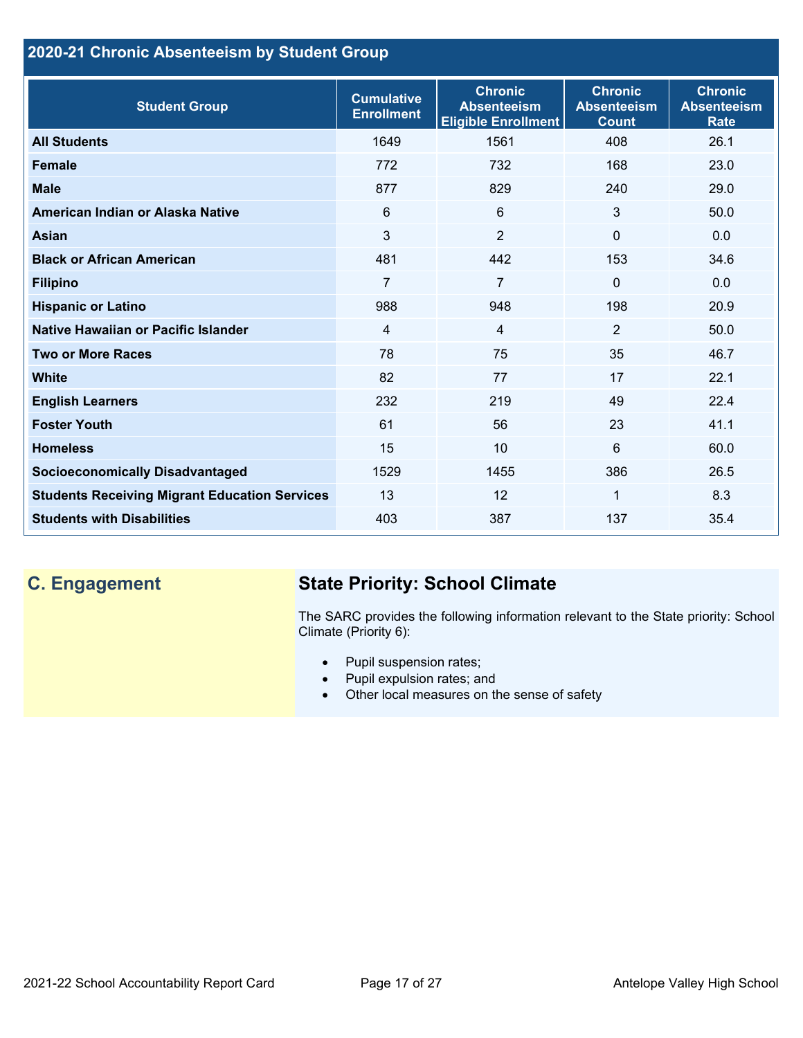## **2020-21 Chronic Absenteeism by Student Group**

| <b>Student Group</b>                                 | <b>Cumulative</b><br><b>Enrollment</b> | <b>Chronic</b><br><b>Absenteeism</b><br><b>Eligible Enrollment</b> | <b>Chronic</b><br><b>Absenteeism</b><br><b>Count</b> | <b>Chronic</b><br><b>Absenteeism</b><br><b>Rate</b> |
|------------------------------------------------------|----------------------------------------|--------------------------------------------------------------------|------------------------------------------------------|-----------------------------------------------------|
| <b>All Students</b>                                  | 1649                                   | 1561                                                               | 408                                                  | 26.1                                                |
| <b>Female</b>                                        | 772                                    | 732                                                                | 168                                                  | 23.0                                                |
| <b>Male</b>                                          | 877                                    | 829                                                                | 240                                                  | 29.0                                                |
| American Indian or Alaska Native                     | 6                                      | 6                                                                  | 3                                                    | 50.0                                                |
| Asian                                                | 3                                      | $\overline{2}$                                                     | $\Omega$                                             | 0.0                                                 |
| <b>Black or African American</b>                     | 481                                    | 442                                                                | 153                                                  | 34.6                                                |
| <b>Filipino</b>                                      | $\overline{7}$                         | $\overline{7}$                                                     | $\mathbf{0}$                                         | 0.0                                                 |
| <b>Hispanic or Latino</b>                            | 988                                    | 948                                                                | 198                                                  | 20.9                                                |
| Native Hawaiian or Pacific Islander                  | $\overline{4}$                         | $\overline{4}$                                                     | $\overline{2}$                                       | 50.0                                                |
| <b>Two or More Races</b>                             | 78                                     | 75                                                                 | 35                                                   | 46.7                                                |
| <b>White</b>                                         | 82                                     | 77                                                                 | 17                                                   | 22.1                                                |
| <b>English Learners</b>                              | 232                                    | 219                                                                | 49                                                   | 22.4                                                |
| <b>Foster Youth</b>                                  | 61                                     | 56                                                                 | 23                                                   | 41.1                                                |
| <b>Homeless</b>                                      | 15                                     | 10                                                                 | 6                                                    | 60.0                                                |
| <b>Socioeconomically Disadvantaged</b>               | 1529                                   | 1455                                                               | 386                                                  | 26.5                                                |
| <b>Students Receiving Migrant Education Services</b> | 13                                     | 12                                                                 | 1                                                    | 8.3                                                 |
| <b>Students with Disabilities</b>                    | 403                                    | 387                                                                | 137                                                  | 35.4                                                |

## **C. Engagement State Priority: School Climate**

The SARC provides the following information relevant to the State priority: School Climate (Priority 6):

- Pupil suspension rates;
- Pupil expulsion rates; and
- Other local measures on the sense of safety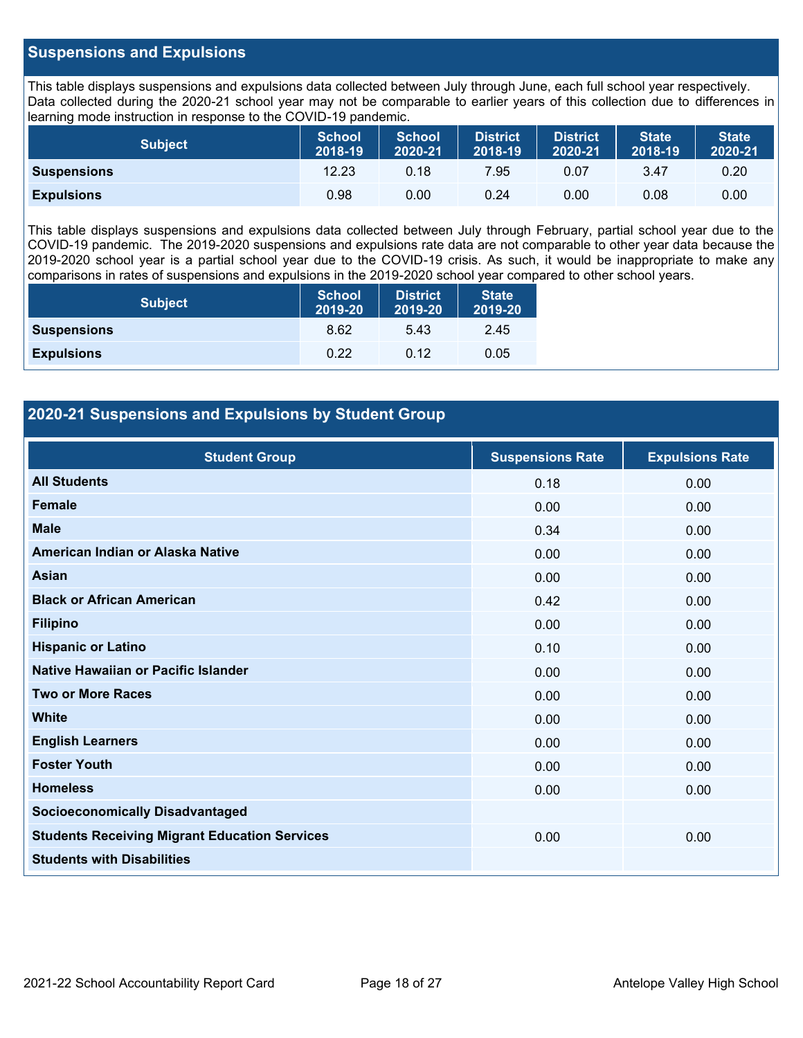#### **Suspensions and Expulsions**

This table displays suspensions and expulsions data collected between July through June, each full school year respectively. Data collected during the 2020-21 school year may not be comparable to earlier years of this collection due to differences in learning mode instruction in response to the COVID-19 pandemic.

| <b>Subject</b>     | <b>School</b><br>2018-19 | <b>School</b><br>2020-21 | <b>District</b><br>2018-19 | <b>District</b><br>2020-21 | <b>State</b><br>2018-19 | <b>State</b><br>2020-21 |
|--------------------|--------------------------|--------------------------|----------------------------|----------------------------|-------------------------|-------------------------|
| <b>Suspensions</b> | 12.23                    | 0.18                     | 7.95                       | 0.07                       | 3.47                    | 0.20                    |
| <b>Expulsions</b>  | 0.98                     | 0.00                     | 0.24                       | 0.00                       | 0.08                    | 0.00                    |

This table displays suspensions and expulsions data collected between July through February, partial school year due to the COVID-19 pandemic. The 2019-2020 suspensions and expulsions rate data are not comparable to other year data because the 2019-2020 school year is a partial school year due to the COVID-19 crisis. As such, it would be inappropriate to make any comparisons in rates of suspensions and expulsions in the 2019-2020 school year compared to other school years.

| <b>Subject</b>     | <b>School</b><br>2019-20 | <b>District</b><br>2019-20 | <b>State</b><br>2019-20 |
|--------------------|--------------------------|----------------------------|-------------------------|
| <b>Suspensions</b> | 8.62                     | 5.43                       | 2.45                    |
| <b>Expulsions</b>  | 0.22                     | 0.12                       | 0.05                    |

#### **2020-21 Suspensions and Expulsions by Student Group**

| <b>Student Group</b>                                 | <b>Suspensions Rate</b> | <b>Expulsions Rate</b> |
|------------------------------------------------------|-------------------------|------------------------|
| <b>All Students</b>                                  | 0.18                    | 0.00                   |
| Female                                               | 0.00                    | 0.00                   |
| <b>Male</b>                                          | 0.34                    | 0.00                   |
| American Indian or Alaska Native                     | 0.00                    | 0.00                   |
| <b>Asian</b>                                         | 0.00                    | 0.00                   |
| <b>Black or African American</b>                     | 0.42                    | 0.00                   |
| <b>Filipino</b>                                      | 0.00                    | 0.00                   |
| <b>Hispanic or Latino</b>                            | 0.10                    | 0.00                   |
| Native Hawaiian or Pacific Islander                  | 0.00                    | 0.00                   |
| <b>Two or More Races</b>                             | 0.00                    | 0.00                   |
| <b>White</b>                                         | 0.00                    | 0.00                   |
| <b>English Learners</b>                              | 0.00                    | 0.00                   |
| <b>Foster Youth</b>                                  | 0.00                    | 0.00                   |
| <b>Homeless</b>                                      | 0.00                    | 0.00                   |
| <b>Socioeconomically Disadvantaged</b>               |                         |                        |
| <b>Students Receiving Migrant Education Services</b> | 0.00                    | 0.00                   |
| <b>Students with Disabilities</b>                    |                         |                        |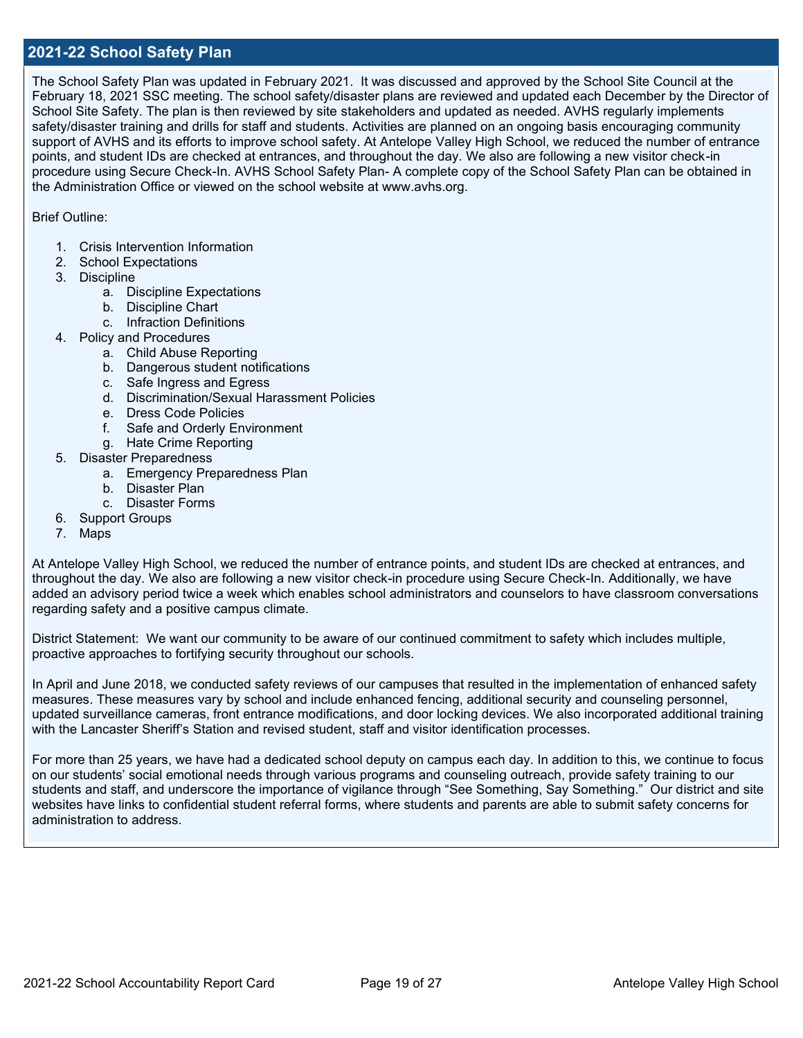#### **2021-22 School Safety Plan**

The School Safety Plan was updated in February 2021. It was discussed and approved by the School Site Council at the February 18, 2021 SSC meeting. The school safety/disaster plans are reviewed and updated each December by the Director of School Site Safety. The plan is then reviewed by site stakeholders and updated as needed. AVHS regularly implements safety/disaster training and drills for staff and students. Activities are planned on an ongoing basis encouraging community support of AVHS and its efforts to improve school safety. At Antelope Valley High School, we reduced the number of entrance points, and student IDs are checked at entrances, and throughout the day. We also are following a new visitor check-in procedure using Secure Check-In. AVHS School Safety Plan- A complete copy of the School Safety Plan can be obtained in the Administration Office or viewed on the school website at www.avhs.org.

Brief Outline:

- 1. Crisis Intervention Information
- 2. School Expectations
- 3. Discipline
	- a. Discipline Expectations
	- b. Discipline Chart
	- c. Infraction Definitions
- 4. Policy and Procedures
	- a. Child Abuse Reporting
	- b. Dangerous student notifications
	- c. Safe Ingress and Egress
	- d. Discrimination/Sexual Harassment Policies
	- e. Dress Code Policies
	- f. Safe and Orderly Environment
	- g. Hate Crime Reporting
- 5. Disaster Preparedness
	- a. Emergency Preparedness Plan
	- b. Disaster Plan
	- c. Disaster Forms
- 6. Support Groups
- 7. Maps

At Antelope Valley High School, we reduced the number of entrance points, and student IDs are checked at entrances, and throughout the day. We also are following a new visitor check-in procedure using Secure Check-In. Additionally, we have added an advisory period twice a week which enables school administrators and counselors to have classroom conversations regarding safety and a positive campus climate.

District Statement: We want our community to be aware of our continued commitment to safety which includes multiple, proactive approaches to fortifying security throughout our schools.

In April and June 2018, we conducted safety reviews of our campuses that resulted in the implementation of enhanced safety measures. These measures vary by school and include enhanced fencing, additional security and counseling personnel, updated surveillance cameras, front entrance modifications, and door locking devices. We also incorporated additional training with the Lancaster Sheriff's Station and revised student, staff and visitor identification processes.

For more than 25 years, we have had a dedicated school deputy on campus each day. In addition to this, we continue to focus on our students' social emotional needs through various programs and counseling outreach, provide safety training to our students and staff, and underscore the importance of vigilance through "See Something, Say Something." Our district and site websites have links to confidential student referral forms, where students and parents are able to submit safety concerns for administration to address.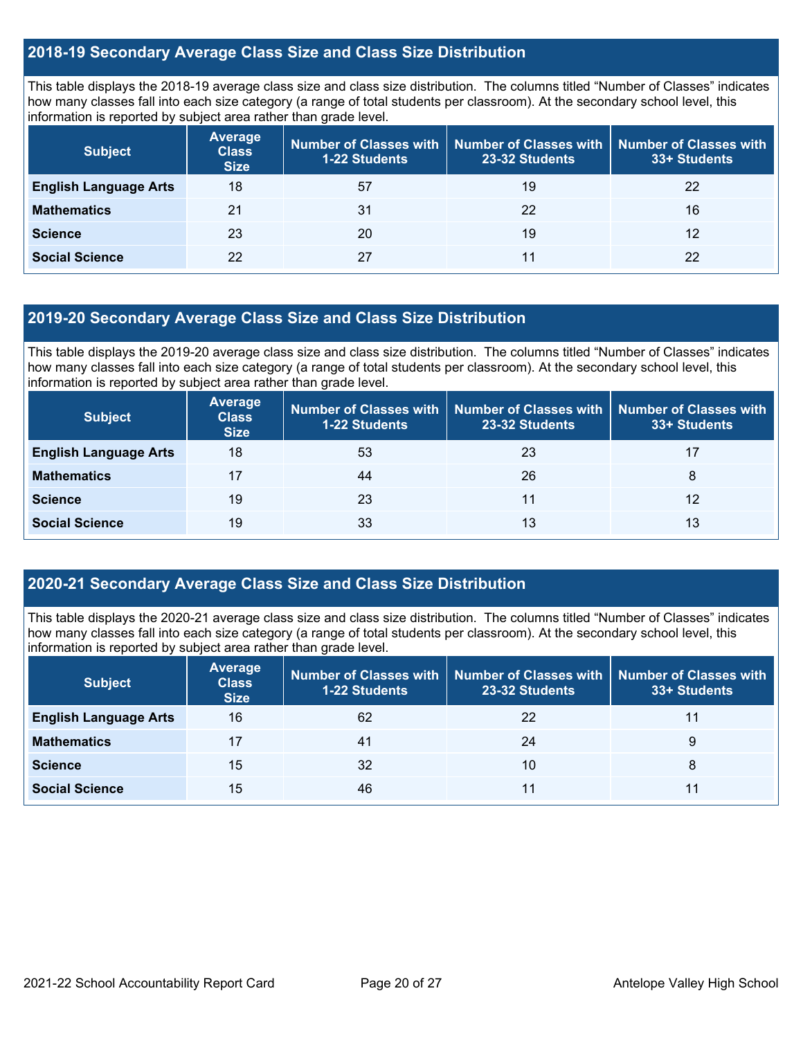#### **2018-19 Secondary Average Class Size and Class Size Distribution**

This table displays the 2018-19 average class size and class size distribution. The columns titled "Number of Classes" indicates how many classes fall into each size category (a range of total students per classroom). At the secondary school level, this information is reported by subject area rather than grade level.

| <b>Subject</b>               | <b>Average</b><br><b>Class</b><br><b>Size</b> | Number of Classes with<br><b>1-22 Students</b> | <b>Number of Classes with</b><br>23-32 Students | <b>Number of Classes with</b><br>33+ Students |
|------------------------------|-----------------------------------------------|------------------------------------------------|-------------------------------------------------|-----------------------------------------------|
| <b>English Language Arts</b> | 18                                            | 57                                             | 19                                              | 22                                            |
| <b>Mathematics</b>           | 21                                            | 31                                             | 22                                              | 16                                            |
| <b>Science</b>               | 23                                            | 20                                             | 19                                              | 12                                            |
| <b>Social Science</b>        | 22                                            | 27                                             | 11                                              | 22                                            |

#### **2019-20 Secondary Average Class Size and Class Size Distribution**

This table displays the 2019-20 average class size and class size distribution. The columns titled "Number of Classes" indicates how many classes fall into each size category (a range of total students per classroom). At the secondary school level, this information is reported by subject area rather than grade level.

| <b>Subject</b>               | <b>Average</b><br><b>Class</b><br><b>Size</b> | Number of Classes with<br><b>1-22 Students</b> | 23-32 Students | Number of Classes with   Number of Classes with<br>33+ Students |
|------------------------------|-----------------------------------------------|------------------------------------------------|----------------|-----------------------------------------------------------------|
| <b>English Language Arts</b> | 18                                            | 53                                             | 23             | 17                                                              |
| <b>Mathematics</b>           | 17                                            | 44                                             | 26             | 8                                                               |
| <b>Science</b>               | 19                                            | 23                                             | 11             | 12                                                              |
| <b>Social Science</b>        | 19                                            | 33                                             | 13             | 13                                                              |

#### **2020-21 Secondary Average Class Size and Class Size Distribution**

This table displays the 2020-21 average class size and class size distribution. The columns titled "Number of Classes" indicates how many classes fall into each size category (a range of total students per classroom). At the secondary school level, this information is reported by subject area rather than grade level.

| <b>Subject</b>               | <b>Average</b><br><b>Class</b><br><b>Size</b> | <b>1-22 Students</b> | Number of Classes with   Number of Classes with   Number of Classes with<br>23-32 Students | 33+ Students |
|------------------------------|-----------------------------------------------|----------------------|--------------------------------------------------------------------------------------------|--------------|
| <b>English Language Arts</b> | 16                                            | 62                   | 22                                                                                         | 11           |
| <b>Mathematics</b>           |                                               | 41                   | 24                                                                                         | 9            |
| <b>Science</b>               | 15                                            | 32                   | 10                                                                                         | 8            |
| <b>Social Science</b>        | 15                                            | 46                   |                                                                                            | 11           |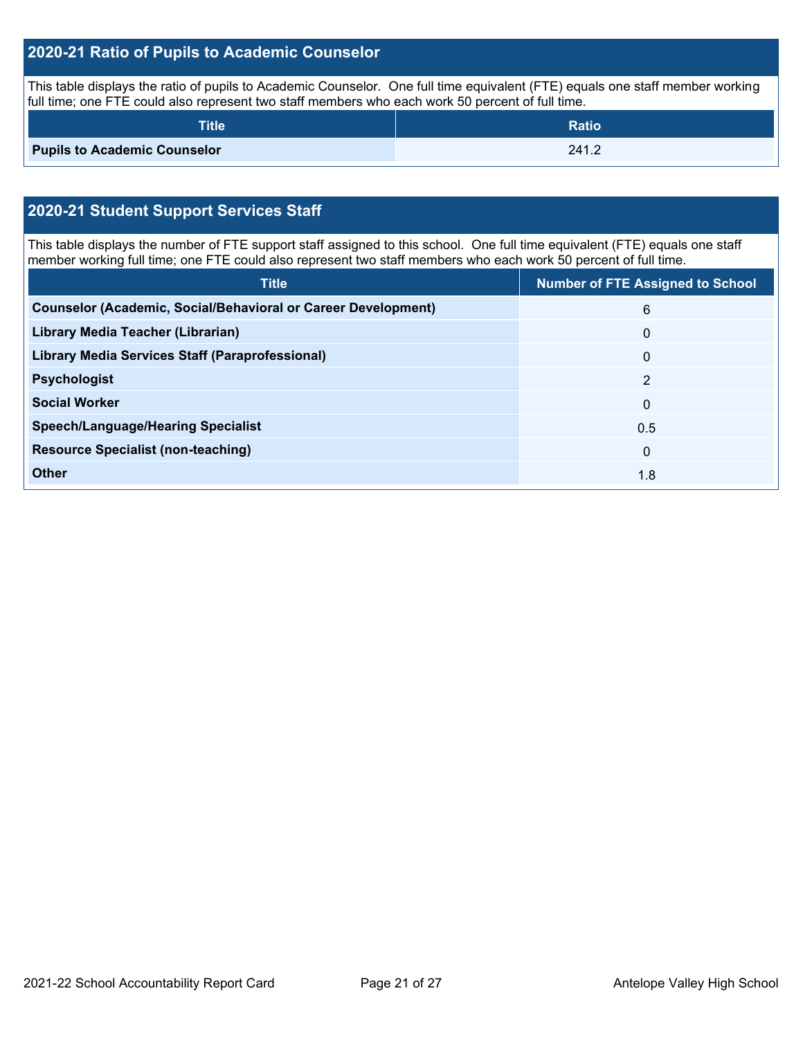#### **2020-21 Ratio of Pupils to Academic Counselor**

This table displays the ratio of pupils to Academic Counselor. One full time equivalent (FTE) equals one staff member working full time; one FTE could also represent two staff members who each work 50 percent of full time.

| <b>Title</b>                        | <b>Ratio</b> |
|-------------------------------------|--------------|
| <b>Pupils to Academic Counselor</b> | 241.2        |

## **2020-21 Student Support Services Staff**

This table displays the number of FTE support staff assigned to this school. One full time equivalent (FTE) equals one staff member working full time; one FTE could also represent two staff members who each work 50 percent of full time.

| <b>Title</b>                                                         | <b>Number of FTE Assigned to School</b> |
|----------------------------------------------------------------------|-----------------------------------------|
| <b>Counselor (Academic, Social/Behavioral or Career Development)</b> | 6                                       |
| Library Media Teacher (Librarian)                                    | $\Omega$                                |
| Library Media Services Staff (Paraprofessional)                      | $\mathbf{0}$                            |
| <b>Psychologist</b>                                                  | 2                                       |
| <b>Social Worker</b>                                                 | $\mathbf{0}$                            |
| <b>Speech/Language/Hearing Specialist</b>                            | 0.5                                     |
| <b>Resource Specialist (non-teaching)</b>                            | $\Omega$                                |
| <b>Other</b>                                                         | 1.8                                     |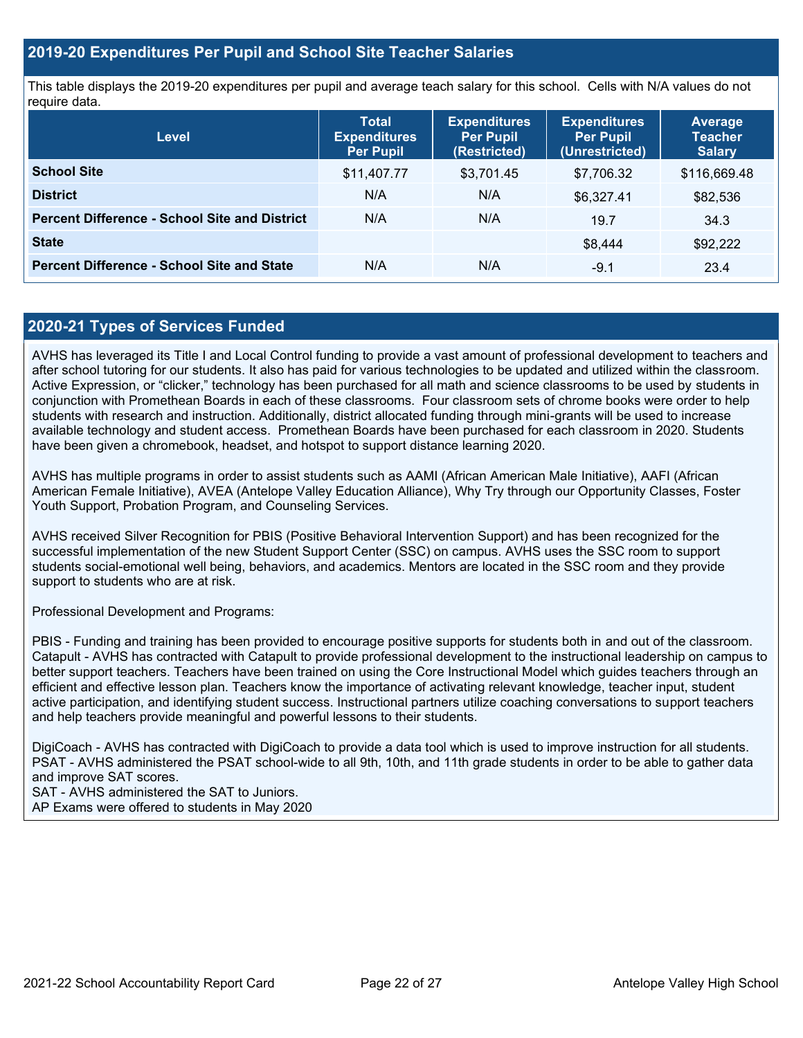#### **2019-20 Expenditures Per Pupil and School Site Teacher Salaries**

This table displays the 2019-20 expenditures per pupil and average teach salary for this school. Cells with N/A values do not require data.

| <b>Level</b>                                         | <b>Total</b><br><b>Expenditures</b><br><b>Per Pupil</b> | <b>Expenditures</b><br><b>Per Pupil</b><br>(Restricted) | <b>Expenditures</b><br><b>Per Pupil</b><br>(Unrestricted) | <b>Average</b><br><b>Teacher</b><br><b>Salary</b> |
|------------------------------------------------------|---------------------------------------------------------|---------------------------------------------------------|-----------------------------------------------------------|---------------------------------------------------|
| <b>School Site</b>                                   | \$11,407.77                                             | \$3,701.45                                              | \$7,706.32                                                | \$116,669.48                                      |
| <b>District</b>                                      | N/A                                                     | N/A                                                     | \$6,327.41                                                | \$82,536                                          |
| <b>Percent Difference - School Site and District</b> | N/A                                                     | N/A                                                     | 19.7                                                      | 34.3                                              |
| <b>State</b>                                         |                                                         |                                                         | \$8,444                                                   | \$92,222                                          |
| <b>Percent Difference - School Site and State</b>    | N/A                                                     | N/A                                                     | $-9.1$                                                    | 23.4                                              |

#### **2020-21 Types of Services Funded**

AVHS has leveraged its Title I and Local Control funding to provide a vast amount of professional development to teachers and after school tutoring for our students. It also has paid for various technologies to be updated and utilized within the classroom. Active Expression, or "clicker," technology has been purchased for all math and science classrooms to be used by students in conjunction with Promethean Boards in each of these classrooms. Four classroom sets of chrome books were order to help students with research and instruction. Additionally, district allocated funding through mini-grants will be used to increase available technology and student access. Promethean Boards have been purchased for each classroom in 2020. Students have been given a chromebook, headset, and hotspot to support distance learning 2020.

AVHS has multiple programs in order to assist students such as AAMI (African American Male Initiative), AAFI (African American Female Initiative), AVEA (Antelope Valley Education Alliance), Why Try through our Opportunity Classes, Foster Youth Support, Probation Program, and Counseling Services.

AVHS received Silver Recognition for PBIS (Positive Behavioral Intervention Support) and has been recognized for the successful implementation of the new Student Support Center (SSC) on campus. AVHS uses the SSC room to support students social-emotional well being, behaviors, and academics. Mentors are located in the SSC room and they provide support to students who are at risk.

Professional Development and Programs:

PBIS - Funding and training has been provided to encourage positive supports for students both in and out of the classroom. Catapult - AVHS has contracted with Catapult to provide professional development to the instructional leadership on campus to better support teachers. Teachers have been trained on using the Core Instructional Model which guides teachers through an efficient and effective lesson plan. Teachers know the importance of activating relevant knowledge, teacher input, student active participation, and identifying student success. Instructional partners utilize coaching conversations to support teachers and help teachers provide meaningful and powerful lessons to their students.

DigiCoach - AVHS has contracted with DigiCoach to provide a data tool which is used to improve instruction for all students. PSAT - AVHS administered the PSAT school-wide to all 9th, 10th, and 11th grade students in order to be able to gather data and improve SAT scores.

SAT - AVHS administered the SAT to Juniors. AP Exams were offered to students in May 2020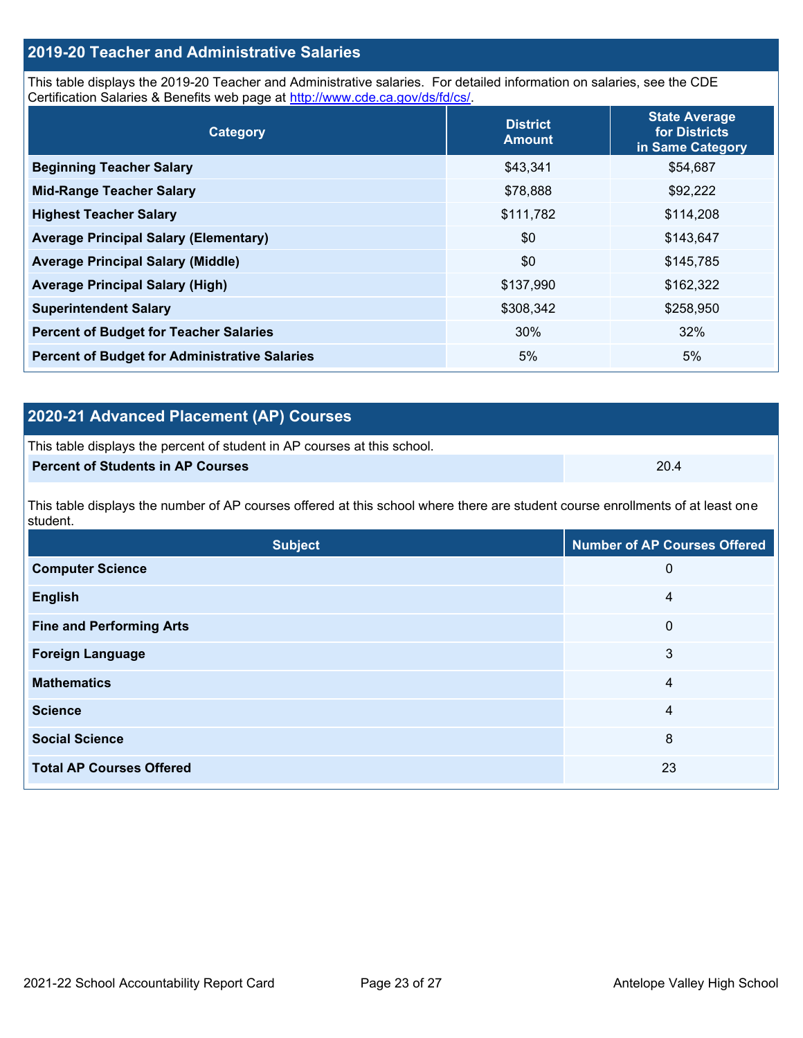### **2019-20 Teacher and Administrative Salaries**

This table displays the 2019-20 Teacher and Administrative salaries. For detailed information on salaries, see the CDE Certification Salaries & Benefits web page at [http://www.cde.ca.gov/ds/fd/cs/.](http://www.cde.ca.gov/ds/fd/cs/)

| Category                                             | <b>District</b><br><b>Amount</b> | <b>State Average</b><br>for Districts<br>in Same Category |  |
|------------------------------------------------------|----------------------------------|-----------------------------------------------------------|--|
| <b>Beginning Teacher Salary</b>                      | \$43,341                         | \$54,687                                                  |  |
| <b>Mid-Range Teacher Salary</b>                      | \$78,888                         | \$92,222                                                  |  |
| <b>Highest Teacher Salary</b>                        | \$111,782                        | \$114,208                                                 |  |
| <b>Average Principal Salary (Elementary)</b>         | \$0                              | \$143,647                                                 |  |
| <b>Average Principal Salary (Middle)</b>             | \$0                              | \$145,785                                                 |  |
| <b>Average Principal Salary (High)</b>               | \$137,990                        | \$162,322                                                 |  |
| <b>Superintendent Salary</b>                         | \$308,342                        | \$258,950                                                 |  |
| <b>Percent of Budget for Teacher Salaries</b>        | 30%                              | 32%                                                       |  |
| <b>Percent of Budget for Administrative Salaries</b> | 5%                               | 5%                                                        |  |

### **2020-21 Advanced Placement (AP) Courses**

| This table displays the percent of student in AP courses at this school. |      |
|--------------------------------------------------------------------------|------|
| <b>Percent of Students in AP Courses</b>                                 | 20.4 |

This table displays the number of AP courses offered at this school where there are student course enrollments of at least one student.

| <b>Subject</b>                  | <b>Number of AP Courses Offered</b> |
|---------------------------------|-------------------------------------|
| <b>Computer Science</b>         | 0                                   |
| <b>English</b>                  | 4                                   |
| <b>Fine and Performing Arts</b> | $\mathbf 0$                         |
| <b>Foreign Language</b>         | 3                                   |
| <b>Mathematics</b>              | 4                                   |
| <b>Science</b>                  | 4                                   |
| <b>Social Science</b>           | 8                                   |
| <b>Total AP Courses Offered</b> | 23                                  |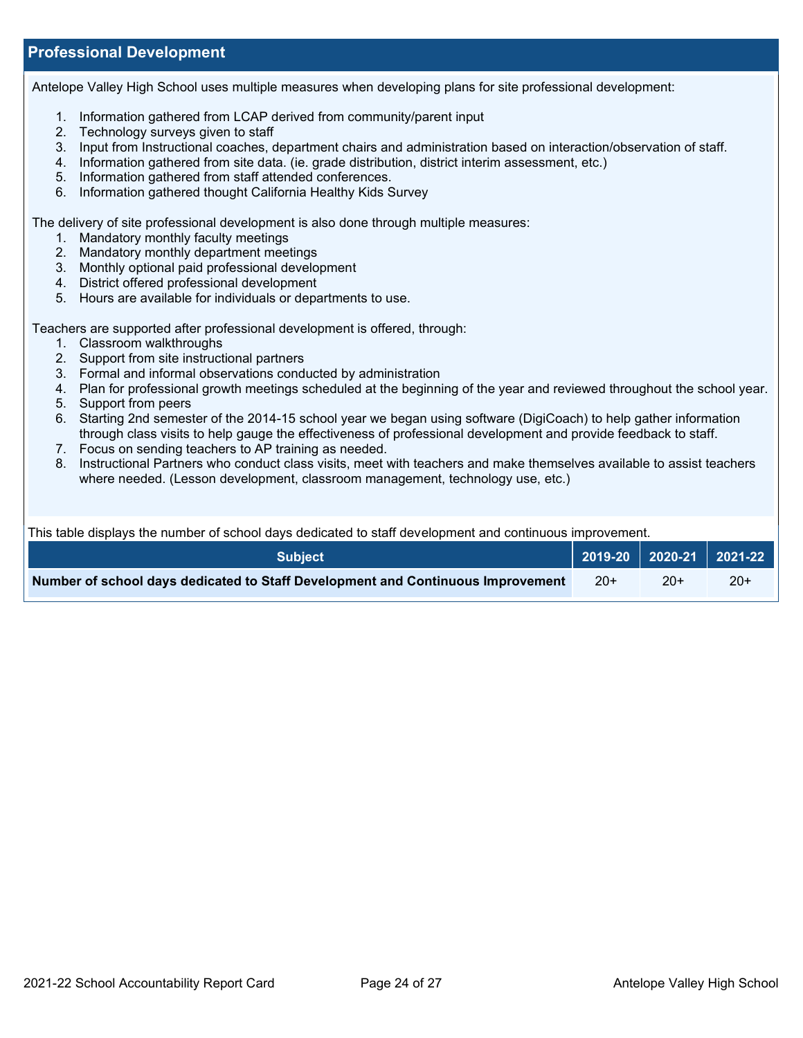#### **Professional Development**

Antelope Valley High School uses multiple measures when developing plans for site professional development:

- 1. Information gathered from LCAP derived from community/parent input
- 2. Technology surveys given to staff
- 3. Input from Instructional coaches, department chairs and administration based on interaction/observation of staff.
- 4. Information gathered from site data. (ie. grade distribution, district interim assessment, etc.)
- 5. Information gathered from staff attended conferences.
- 6. Information gathered thought California Healthy Kids Survey

The delivery of site professional development is also done through multiple measures:

- 1. Mandatory monthly faculty meetings
- 2. Mandatory monthly department meetings
- 3. Monthly optional paid professional development
- 4. District offered professional development
- 5. Hours are available for individuals or departments to use.

Teachers are supported after professional development is offered, through:

- 1. Classroom walkthroughs
- 2. Support from site instructional partners
- 3. Formal and informal observations conducted by administration
- 4. Plan for professional growth meetings scheduled at the beginning of the year and reviewed throughout the school year.
- 5. Support from peers
- 6. Starting 2nd semester of the 2014-15 school year we began using software (DigiCoach) to help gather information through class visits to help gauge the effectiveness of professional development and provide feedback to staff.
- 7. Focus on sending teachers to AP training as needed.
- 8. Instructional Partners who conduct class visits, meet with teachers and make themselves available to assist teachers where needed. (Lesson development, classroom management, technology use, etc.)

This table displays the number of school days dedicated to staff development and continuous improvement.

| <b>Subject</b>                                                                  |       | 2019-20   2020-21   2021-22 |     |
|---------------------------------------------------------------------------------|-------|-----------------------------|-----|
| Number of school days dedicated to Staff Development and Continuous Improvement | $20+$ | $20+$                       | 20+ |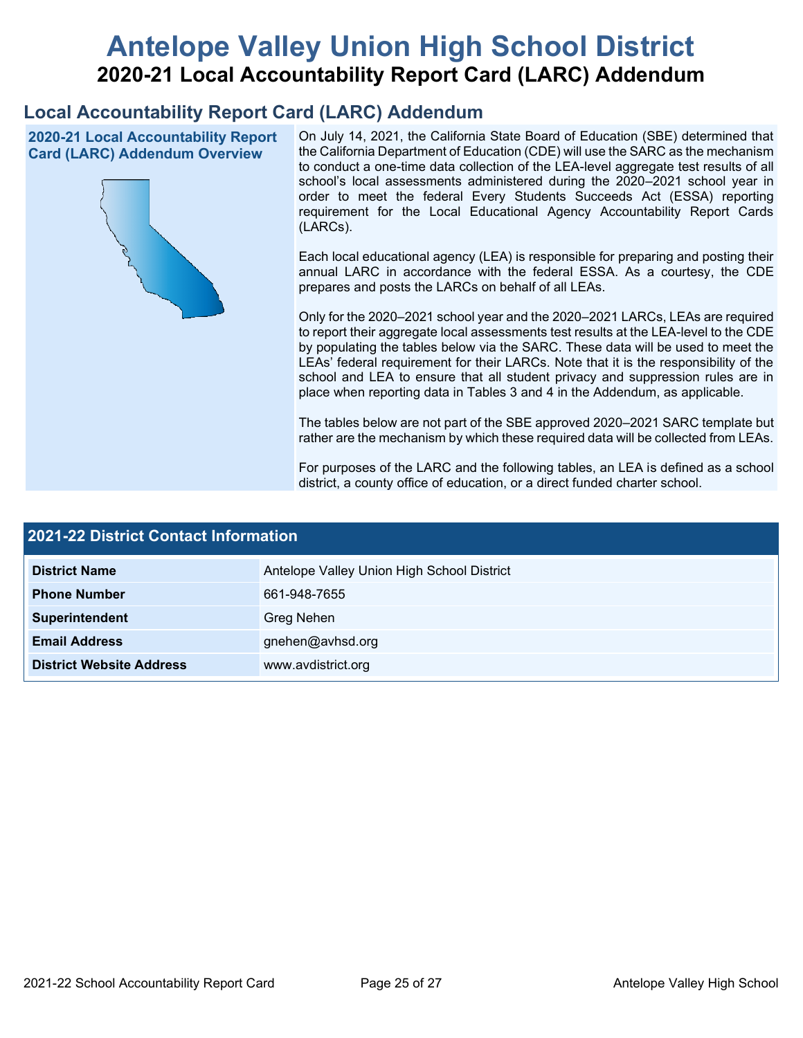# **Antelope Valley Union High School District 2020-21 Local Accountability Report Card (LARC) Addendum**

## **Local Accountability Report Card (LARC) Addendum**

**2020-21 Local Accountability Report Card (LARC) Addendum Overview**



On July 14, 2021, the California State Board of Education (SBE) determined that the California Department of Education (CDE) will use the SARC as the mechanism to conduct a one-time data collection of the LEA-level aggregate test results of all school's local assessments administered during the 2020–2021 school year in order to meet the federal Every Students Succeeds Act (ESSA) reporting requirement for the Local Educational Agency Accountability Report Cards (LARCs).

Each local educational agency (LEA) is responsible for preparing and posting their annual LARC in accordance with the federal ESSA. As a courtesy, the CDE prepares and posts the LARCs on behalf of all LEAs.

Only for the 2020–2021 school year and the 2020–2021 LARCs, LEAs are required to report their aggregate local assessments test results at the LEA-level to the CDE by populating the tables below via the SARC. These data will be used to meet the LEAs' federal requirement for their LARCs. Note that it is the responsibility of the school and LEA to ensure that all student privacy and suppression rules are in place when reporting data in Tables 3 and 4 in the Addendum, as applicable.

The tables below are not part of the SBE approved 2020–2021 SARC template but rather are the mechanism by which these required data will be collected from LEAs.

For purposes of the LARC and the following tables, an LEA is defined as a school district, a county office of education, or a direct funded charter school.

| <b>2021-22 District Contact Information</b> |                                            |  |  |  |
|---------------------------------------------|--------------------------------------------|--|--|--|
| <b>District Name</b>                        | Antelope Valley Union High School District |  |  |  |
| <b>Phone Number</b>                         | 661-948-7655                               |  |  |  |
| Superintendent                              | Greg Nehen                                 |  |  |  |
| <b>Email Address</b>                        | gnehen@avhsd.org                           |  |  |  |
| <b>District Website Address</b>             | www.avdistrict.org                         |  |  |  |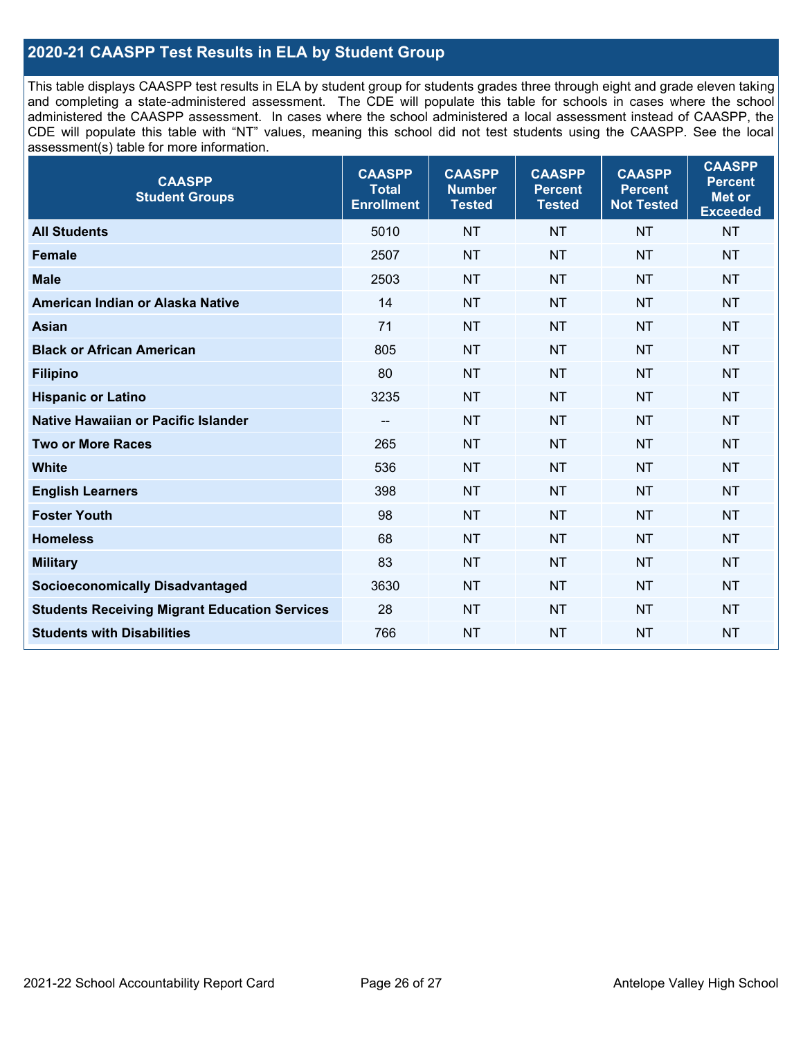#### **2020-21 CAASPP Test Results in ELA by Student Group**

This table displays CAASPP test results in ELA by student group for students grades three through eight and grade eleven taking and completing a state-administered assessment. The CDE will populate this table for schools in cases where the school administered the CAASPP assessment. In cases where the school administered a local assessment instead of CAASPP, the CDE will populate this table with "NT" values, meaning this school did not test students using the CAASPP. See the local assessment(s) table for more information.

| <b>CAASPP</b><br><b>Student Groups</b>               | <b>CAASPP</b><br><b>Total</b><br><b>Enrollment</b> | <b>CAASPP</b><br><b>Number</b><br><b>Tested</b> | <b>CAASPP</b><br><b>Percent</b><br><b>Tested</b> | <b>CAASPP</b><br><b>Percent</b><br><b>Not Tested</b> | <b>CAASPP</b><br><b>Percent</b><br>Met or<br><b>Exceeded</b> |
|------------------------------------------------------|----------------------------------------------------|-------------------------------------------------|--------------------------------------------------|------------------------------------------------------|--------------------------------------------------------------|
| <b>All Students</b>                                  | 5010                                               | <b>NT</b>                                       | <b>NT</b>                                        | <b>NT</b>                                            | <b>NT</b>                                                    |
| <b>Female</b>                                        | 2507                                               | <b>NT</b>                                       | <b>NT</b>                                        | <b>NT</b>                                            | <b>NT</b>                                                    |
| <b>Male</b>                                          | 2503                                               | <b>NT</b>                                       | <b>NT</b>                                        | <b>NT</b>                                            | <b>NT</b>                                                    |
| American Indian or Alaska Native                     | 14                                                 | <b>NT</b>                                       | <b>NT</b>                                        | <b>NT</b>                                            | <b>NT</b>                                                    |
| <b>Asian</b>                                         | 71                                                 | <b>NT</b>                                       | <b>NT</b>                                        | <b>NT</b>                                            | <b>NT</b>                                                    |
| <b>Black or African American</b>                     | 805                                                | <b>NT</b>                                       | <b>NT</b>                                        | <b>NT</b>                                            | NT                                                           |
| <b>Filipino</b>                                      | 80                                                 | <b>NT</b>                                       | <b>NT</b>                                        | <b>NT</b>                                            | <b>NT</b>                                                    |
| <b>Hispanic or Latino</b>                            | 3235                                               | <b>NT</b>                                       | <b>NT</b>                                        | <b>NT</b>                                            | <b>NT</b>                                                    |
| <b>Native Hawaiian or Pacific Islander</b>           | --                                                 | <b>NT</b>                                       | <b>NT</b>                                        | <b>NT</b>                                            | <b>NT</b>                                                    |
| <b>Two or More Races</b>                             | 265                                                | <b>NT</b>                                       | <b>NT</b>                                        | <b>NT</b>                                            | <b>NT</b>                                                    |
| <b>White</b>                                         | 536                                                | <b>NT</b>                                       | <b>NT</b>                                        | <b>NT</b>                                            | <b>NT</b>                                                    |
| <b>English Learners</b>                              | 398                                                | <b>NT</b>                                       | <b>NT</b>                                        | <b>NT</b>                                            | <b>NT</b>                                                    |
| <b>Foster Youth</b>                                  | 98                                                 | <b>NT</b>                                       | <b>NT</b>                                        | <b>NT</b>                                            | <b>NT</b>                                                    |
| <b>Homeless</b>                                      | 68                                                 | <b>NT</b>                                       | <b>NT</b>                                        | <b>NT</b>                                            | <b>NT</b>                                                    |
| <b>Military</b>                                      | 83                                                 | <b>NT</b>                                       | <b>NT</b>                                        | <b>NT</b>                                            | <b>NT</b>                                                    |
| <b>Socioeconomically Disadvantaged</b>               | 3630                                               | <b>NT</b>                                       | <b>NT</b>                                        | <b>NT</b>                                            | <b>NT</b>                                                    |
| <b>Students Receiving Migrant Education Services</b> | 28                                                 | <b>NT</b>                                       | <b>NT</b>                                        | <b>NT</b>                                            | NT                                                           |
| <b>Students with Disabilities</b>                    | 766                                                | <b>NT</b>                                       | <b>NT</b>                                        | <b>NT</b>                                            | NT                                                           |